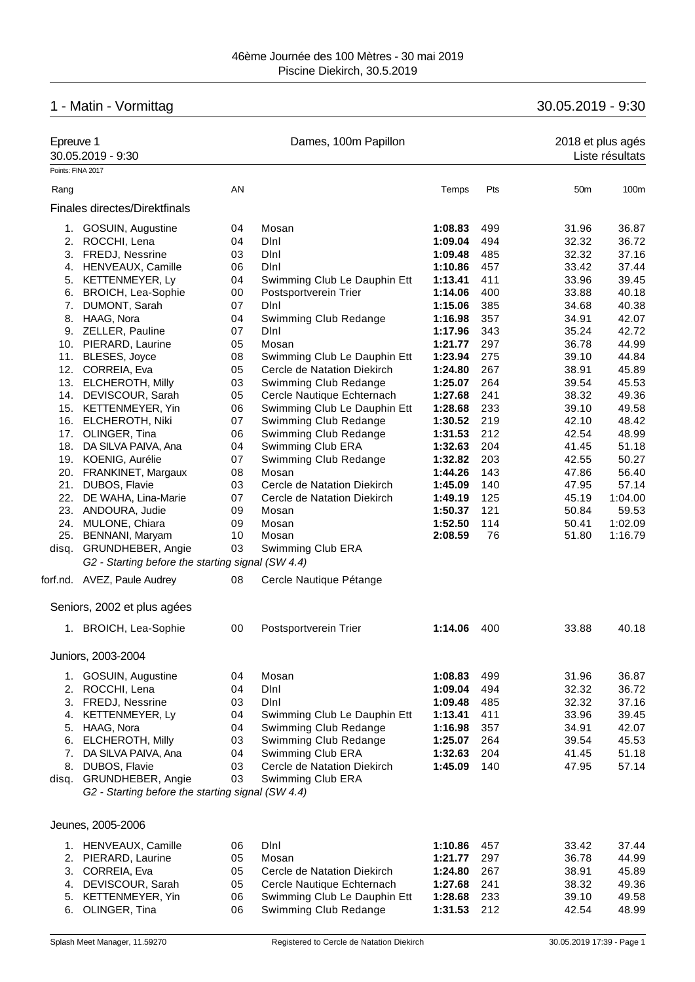# 1 - Matin - Vormittag 30.05.2019 - 9:30

| Epreuve 1         | 30.05.2019 - 9:30                                                            |          | Dames, 100m Papillon                                       |                    |            | 2018 et plus agés | Liste résultats |
|-------------------|------------------------------------------------------------------------------|----------|------------------------------------------------------------|--------------------|------------|-------------------|-----------------|
| Points: FINA 2017 |                                                                              |          |                                                            |                    |            |                   |                 |
| Rang              |                                                                              | AN       |                                                            | Temps              | Pts        | 50 <sub>m</sub>   | 100m            |
|                   | Finales directes/Direktfinals                                                |          |                                                            |                    |            |                   |                 |
|                   | 1. GOSUIN, Augustine                                                         | 04       | Mosan                                                      | 1:08.83            | 499        | 31.96             | 36.87           |
|                   | 2. ROCCHI, Lena                                                              | 04       | Dini                                                       | 1:09.04            | 494        | 32.32             | 36.72           |
|                   | 3. FREDJ, Nessrine                                                           | 03       | Dini                                                       | 1:09.48            | 485        | 32.32             | 37.16           |
|                   | 4. HENVEAUX, Camille                                                         | 06       | DInl                                                       | 1:10.86            | 457        | 33.42             | 37.44           |
| 5.                | KETTENMEYER, Ly                                                              | 04       | Swimming Club Le Dauphin Ett                               | 1:13.41            | 411        | 33.96             | 39.45           |
|                   | 6. BROICH, Lea-Sophie                                                        | 00       | Postsportverein Trier                                      | 1:14.06            | 400        | 33.88             | 40.18           |
| 7.                | DUMONT, Sarah                                                                | 07       | Dini                                                       | 1:15.06            | 385        | 34.68             | 40.38           |
|                   | 8. HAAG, Nora                                                                | 04       | Swimming Club Redange                                      | 1:16.98            | 357        | 34.91             | 42.07           |
|                   | 9. ZELLER, Pauline                                                           | 07       | Dini                                                       | 1:17.96            | 343        | 35.24             | 42.72           |
|                   | 10. PIERARD, Laurine                                                         | 05       | Mosan                                                      | 1:21.77            | 297        | 36.78             | 44.99           |
|                   | 11. BLESES, Joyce                                                            | 08       | Swimming Club Le Dauphin Ett                               | 1:23.94            | 275        | 39.10             | 44.84           |
|                   | 12. CORREIA, Eva                                                             | 05       | Cercle de Natation Diekirch                                | 1:24.80            | 267        | 38.91             | 45.89           |
|                   | 13. ELCHEROTH, Milly                                                         | 03       | Swimming Club Redange                                      | 1:25.07            | 264        | 39.54             | 45.53           |
|                   | 14. DEVISCOUR, Sarah                                                         | 05       | Cercle Nautique Echternach                                 | 1:27.68            | 241        | 38.32             | 49.36           |
|                   | 15. KETTENMEYER, Yin                                                         | 06       | Swimming Club Le Dauphin Ett                               | 1:28.68            | 233        | 39.10             | 49.58           |
|                   | 16. ELCHEROTH, Niki                                                          | 07       | Swimming Club Redange                                      | 1:30.52            | 219        | 42.10             | 48.42           |
| 17.               | OLINGER, Tina                                                                | 06       | Swimming Club Redange                                      | 1:31.53            | 212        | 42.54             | 48.99           |
| 18.               | DA SILVA PAIVA, Ana                                                          | 04       | Swimming Club ERA                                          | 1:32.63            | 204        | 41.45             | 51.18           |
|                   | 19. KOENIG, Aurélie                                                          | 07       | Swimming Club Redange                                      | 1:32.82            | 203        | 42.55             | 50.27           |
|                   | 20. FRANKINET, Margaux                                                       | 08       | Mosan                                                      | 1:44.26            | 143        | 47.86             | 56.40           |
| 21.               | DUBOS, Flavie                                                                | 03       | Cercle de Natation Diekirch                                | 1:45.09            | 140        | 47.95             | 57.14           |
| 22.               | DE WAHA, Lina-Marie                                                          | 07       | Cercle de Natation Diekirch                                | 1:49.19            | 125        | 45.19             | 1:04.00         |
|                   | 23. ANDOURA, Judie                                                           | 09       | Mosan                                                      | 1:50.37            | 121        | 50.84             | 59.53           |
| 24.               | MULONE, Chiara                                                               | 09       | Mosan                                                      | 1:52.50            | 114        | 50.41             | 1:02.09         |
|                   | 25. BENNANI, Maryam                                                          | 10       | Mosan                                                      | 2:08.59            | 76         | 51.80             | 1:16.79         |
|                   | disq. GRUNDHEBER, Angie                                                      | 03       | Swimming Club ERA                                          |                    |            |                   |                 |
|                   | G2 - Starting before the starting signal (SW 4.4)                            |          |                                                            |                    |            |                   |                 |
|                   | forf.nd. AVEZ, Paule Audrey                                                  | 08       | Cercle Nautique Pétange                                    |                    |            |                   |                 |
|                   | Seniors, 2002 et plus agées                                                  |          |                                                            |                    |            |                   |                 |
|                   | 1. BROICH, Lea-Sophie                                                        | 00       | Postsportverein Trier                                      | 1:14.06            | 400        | 33.88             | 40.18           |
|                   | Juniors, 2003-2004                                                           |          |                                                            |                    |            |                   |                 |
|                   | 1. GOSUIN, Augustine                                                         | 04       | Mosan                                                      | 1:08.83            | 499        | 31.96             | 36.87           |
|                   | 2. ROCCHI, Lena                                                              | 04       | Dini                                                       | 1:09.04            | 494        | 32.32             | 36.72           |
|                   | 3. FREDJ, Nessrine                                                           | 03       | DInl                                                       | 1:09.48            | 485        | 32.32             | 37.16           |
| 4.                | KETTENMEYER, Ly                                                              | 04       | Swimming Club Le Dauphin Ett                               | 1:13.41            | 411        | 33.96             | 39.45           |
| 5.                | HAAG, Nora                                                                   | 04       | Swimming Club Redange                                      | 1:16.98            | 357        | 34.91             | 42.07           |
| 6.                | <b>ELCHEROTH, Milly</b>                                                      | 03       | Swimming Club Redange                                      | 1:25.07            | 264        | 39.54             | 45.53           |
| 7.                | DA SILVA PAIVA, Ana                                                          | 04       | Swimming Club ERA                                          | 1:32.63            | 204        | 41.45             | 51.18           |
| 8.                | DUBOS, Flavie                                                                | 03       | Cercle de Natation Diekirch                                | 1:45.09            | 140        | 47.95             | 57.14           |
|                   | disq. GRUNDHEBER, Angie<br>G2 - Starting before the starting signal (SW 4.4) | 03       | Swimming Club ERA                                          |                    |            |                   |                 |
|                   |                                                                              |          |                                                            |                    |            |                   |                 |
|                   | Jeunes, 2005-2006                                                            |          |                                                            |                    |            |                   |                 |
|                   | 1. HENVEAUX, Camille                                                         | 06       | Dini                                                       | 1:10.86            | 457        | 33.42             | 37.44           |
|                   | 2. PIERARD, Laurine                                                          | 05       | Mosan                                                      | 1:21.77            | 297        | 36.78             | 44.99           |
| 3.                | CORREIA, Eva                                                                 | 05       | Cercle de Natation Diekirch                                | 1:24.80            | 267        | 38.91             | 45.89           |
| 4.                | DEVISCOUR, Sarah                                                             | 05       | Cercle Nautique Echternach<br>Swimming Club Le Dauphin Ett | 1:27.68            | 241<br>233 | 38.32             | 49.36<br>49.58  |
| 5.<br>6.          | KETTENMEYER, Yin<br>OLINGER, Tina                                            | 06<br>06 | Swimming Club Redange                                      | 1:28.68<br>1:31.53 | 212        | 39.10<br>42.54    | 48.99           |
|                   |                                                                              |          |                                                            |                    |            |                   |                 |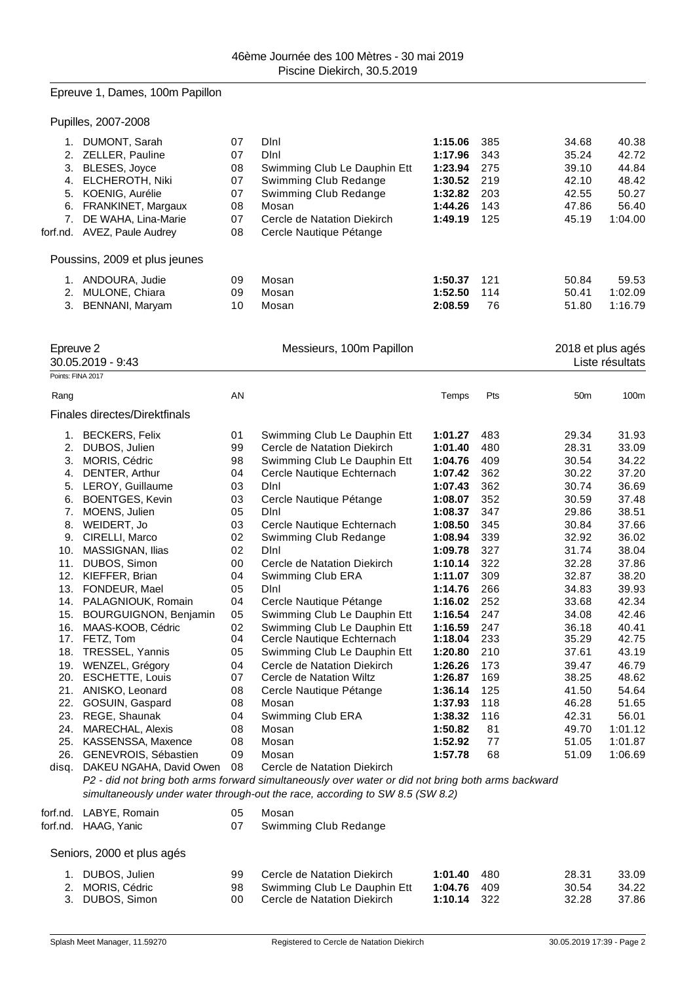## Epreuve 1, Dames, 100m Papillon

|  | Pupilles, 2007-2008 |
|--|---------------------|
|--|---------------------|

| 7.                             | 1. DUMONT, Sarah<br>2. ZELLER, Pauline<br>3. BLESES, Joyce<br>4. ELCHEROTH, Niki<br>5. KOENIG, Aurélie<br>6. FRANKINET, Margaux<br>DE WAHA, Lina-Marie<br>forf.nd. AVEZ, Paule Audrey | 07<br>07<br>08<br>07<br>07<br>08<br>07<br>08 | Dini<br>Dini<br>Swimming Club Le Dauphin Ett<br>Swimming Club Redange<br>Swimming Club Redange<br>Mosan<br>Cercle de Natation Diekirch<br>Cercle Nautique Pétange                                                  | 1:15.06<br>1:17.96<br>1:23.94<br>1:30.52<br>1:32.82<br>1:44.26<br>1:49.19 | 385<br>343<br>275<br>219<br>203<br>143<br>125 | 34.68<br>35.24<br>39.10<br>42.10<br>42.55<br>47.86<br>45.19 | 40.38<br>42.72<br>44.84<br>48.42<br>50.27<br>56.40<br>1:04.00 |
|--------------------------------|---------------------------------------------------------------------------------------------------------------------------------------------------------------------------------------|----------------------------------------------|--------------------------------------------------------------------------------------------------------------------------------------------------------------------------------------------------------------------|---------------------------------------------------------------------------|-----------------------------------------------|-------------------------------------------------------------|---------------------------------------------------------------|
|                                | Poussins, 2009 et plus jeunes                                                                                                                                                         |                                              |                                                                                                                                                                                                                    |                                                                           |                                               |                                                             |                                                               |
|                                | 1. ANDOURA, Judie<br>2. MULONE, Chiara<br>3. BENNANI, Maryam                                                                                                                          | 09<br>09<br>10                               | Mosan<br>Mosan<br>Mosan                                                                                                                                                                                            | 1:50.37<br>1:52.50<br>2:08.59                                             | 121<br>114<br>76                              | 50.84<br>50.41<br>51.80                                     | 59.53<br>1:02.09<br>1:16.79                                   |
| Epreuve 2<br>Points: FINA 2017 | 30.05.2019 - 9:43                                                                                                                                                                     |                                              | Messieurs, 100m Papillon                                                                                                                                                                                           |                                                                           |                                               |                                                             | 2018 et plus agés<br>Liste résultats                          |
|                                |                                                                                                                                                                                       |                                              |                                                                                                                                                                                                                    |                                                                           |                                               |                                                             |                                                               |
| Rang                           |                                                                                                                                                                                       | AN                                           |                                                                                                                                                                                                                    | Temps                                                                     | Pts                                           | 50 <sub>m</sub>                                             | 100m                                                          |
|                                | Finales directes/Direktfinals                                                                                                                                                         |                                              |                                                                                                                                                                                                                    |                                                                           |                                               |                                                             |                                                               |
|                                | 1. BECKERS, Felix                                                                                                                                                                     | 01                                           | Swimming Club Le Dauphin Ett                                                                                                                                                                                       | 1:01.27                                                                   | 483                                           | 29.34                                                       | 31.93                                                         |
|                                | 2. DUBOS, Julien                                                                                                                                                                      | 99                                           | Cercle de Natation Diekirch                                                                                                                                                                                        | 1:01.40                                                                   | 480                                           | 28.31                                                       | 33.09                                                         |
|                                | 3. MORIS, Cédric                                                                                                                                                                      | 98                                           | Swimming Club Le Dauphin Ett                                                                                                                                                                                       | 1:04.76                                                                   | 409                                           | 30.54                                                       | 34.22                                                         |
|                                | 4. DENTER, Arthur                                                                                                                                                                     | 04                                           | Cercle Nautique Echternach<br>DInl                                                                                                                                                                                 | 1:07.42                                                                   | 362                                           | 30.22                                                       | 37.20                                                         |
|                                | 5. LEROY, Guillaume<br>6. BOENTGES, Kevin                                                                                                                                             | 03<br>03                                     | Cercle Nautique Pétange                                                                                                                                                                                            | 1:07.43<br>1:08.07                                                        | 362<br>352                                    | 30.74<br>30.59                                              | 36.69<br>37.48                                                |
|                                | 7. MOENS, Julien                                                                                                                                                                      | 05                                           | DInl                                                                                                                                                                                                               | 1:08.37                                                                   | 347                                           | 29.86                                                       | 38.51                                                         |
|                                | 8. WEIDERT, Jo                                                                                                                                                                        | 03                                           | Cercle Nautique Echternach                                                                                                                                                                                         | 1:08.50                                                                   | 345                                           | 30.84                                                       | 37.66                                                         |
|                                | 9. CIRELLI, Marco                                                                                                                                                                     | 02                                           | Swimming Club Redange                                                                                                                                                                                              | 1:08.94                                                                   | 339                                           | 32.92                                                       | 36.02                                                         |
|                                | 10. MASSIGNAN, Ilias                                                                                                                                                                  | 02                                           | DInl                                                                                                                                                                                                               | 1:09.78                                                                   | 327                                           | 31.74                                                       | 38.04                                                         |
|                                | 11. DUBOS, Simon                                                                                                                                                                      | 00                                           | Cercle de Natation Diekirch                                                                                                                                                                                        | 1:10.14                                                                   | 322                                           | 32.28                                                       | 37.86                                                         |
|                                | 12. KIEFFER, Brian                                                                                                                                                                    | 04                                           | Swimming Club ERA                                                                                                                                                                                                  | 1:11.07                                                                   | 309                                           | 32.87                                                       | 38.20                                                         |
|                                | 13. FONDEUR, Mael                                                                                                                                                                     | 05                                           | Dini                                                                                                                                                                                                               | 1:14.76                                                                   | 266                                           | 34.83                                                       | 39.93                                                         |
|                                | 14. PALAGNIOUK, Romain                                                                                                                                                                | 04                                           | Cercle Nautique Pétange                                                                                                                                                                                            | 1:16.02                                                                   | 252                                           | 33.68                                                       | 42.34                                                         |
|                                | 15. BOURGUIGNON, Benjamin                                                                                                                                                             | 05                                           | Swimming Club Le Dauphin Ett                                                                                                                                                                                       | 1:16.54                                                                   | 247                                           | 34.08                                                       | 42.46                                                         |
|                                | 16. MAAS-KOOB, Cédric                                                                                                                                                                 | 02                                           | Swimming Club Le Dauphin Ett                                                                                                                                                                                       | 1:16.59                                                                   | 247                                           | 36.18                                                       | 40.41                                                         |
|                                | 17. FETZ, Tom<br>18. TRESSEL, Yannis                                                                                                                                                  | 04<br>05                                     | Cercle Nautique Echternach<br>Swimming Club Le Dauphin Ett                                                                                                                                                         | 1:18.04<br>1:20.80                                                        | 233<br>210                                    | 35.29<br>37.61                                              | 42.75<br>43.19                                                |
|                                | 19. WENZEL, Grégory                                                                                                                                                                   | 04                                           | Cercle de Natation Diekirch                                                                                                                                                                                        | 1:26.26                                                                   | 173                                           | 39.47                                                       | 46.79                                                         |
|                                | 20. ESCHETTE, Louis                                                                                                                                                                   | 07                                           | Cercle de Natation Wiltz                                                                                                                                                                                           | 1:26.87                                                                   | 169                                           | 38.25                                                       | 48.62                                                         |
|                                | 21. ANISKO, Leonard                                                                                                                                                                   | 08                                           | Cercle Nautique Pétange                                                                                                                                                                                            | 1:36.14                                                                   | 125                                           | 41.50                                                       | 54.64                                                         |
|                                | 22. GOSUIN, Gaspard                                                                                                                                                                   | 08                                           | Mosan                                                                                                                                                                                                              | 1:37.93                                                                   | 118                                           | 46.28                                                       | 51.65                                                         |
|                                | 23. REGE, Shaunak                                                                                                                                                                     | 04                                           | Swimming Club ERA                                                                                                                                                                                                  | 1:38.32                                                                   | 116                                           | 42.31                                                       | 56.01                                                         |
|                                | 24. MARECHAL, Alexis                                                                                                                                                                  | 08                                           | Mosan                                                                                                                                                                                                              | 1:50.82                                                                   | 81                                            | 49.70                                                       | 1:01.12                                                       |
|                                | 25. KASSENSSA, Maxence                                                                                                                                                                | 08                                           | Mosan                                                                                                                                                                                                              | 1:52.92                                                                   | 77                                            | 51.05                                                       | 1:01.87                                                       |
|                                | 26. GENEVROIS, Sébastien                                                                                                                                                              | 09                                           | Mosan                                                                                                                                                                                                              | 1:57.78                                                                   | 68                                            | 51.09                                                       | 1:06.69                                                       |
|                                | disq. DAKEU NGAHA, David Owen                                                                                                                                                         | 08                                           | Cercle de Natation Diekirch<br>P2 - did not bring both arms forward simultaneously over water or did not bring both arms backward<br>simultaneously under water through-out the race, according to SW 8.5 (SW 8.2) |                                                                           |                                               |                                                             |                                                               |
|                                |                                                                                                                                                                                       |                                              |                                                                                                                                                                                                                    |                                                                           |                                               |                                                             |                                                               |
|                                | forf.nd. LABYE, Romain<br>forf.nd. HAAG, Yanic                                                                                                                                        | 05<br>07                                     | Mosan<br>Swimming Club Redange                                                                                                                                                                                     |                                                                           |                                               |                                                             |                                                               |
|                                | Seniors, 2000 et plus agés                                                                                                                                                            |                                              |                                                                                                                                                                                                                    |                                                                           |                                               |                                                             |                                                               |
|                                | $1$ DUROS Julian                                                                                                                                                                      | oο                                           | Carola da Natation Diakiroh                                                                                                                                                                                        | $1.01$ $10$ $180$                                                         |                                               | 28.31                                                       | _0∩ ג?                                                        |

1. DUBOS, Julien 99 Cercle de Natation Diekirch **1:01.40** 480 28.31 33.09 2. MORIS, Cédric **98** Swimming Club Le Dauphin Ett **1:04.76** 409 30.54 34.22<br>3. DUBOS, Simon **37.86** 37.86 **Cercle de Natation Diekirch**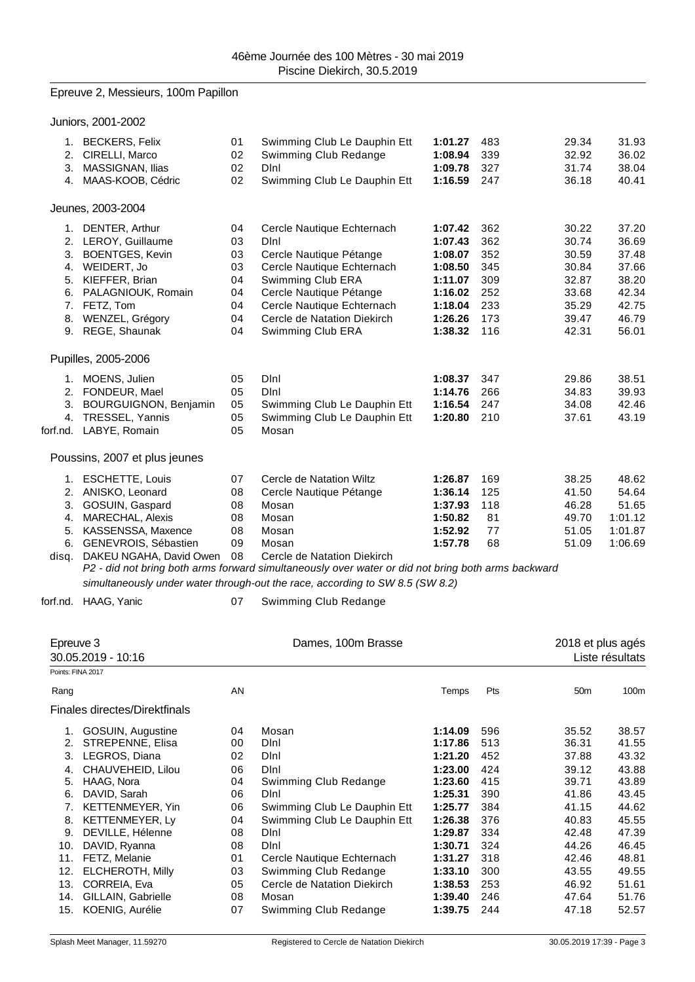# Epreuve 2, Messieurs, 100m Papillon

Juniors, 2001-2002

|                   | "                                                             |                |                                                                                                                                            |                               |                   |                         |                         |
|-------------------|---------------------------------------------------------------|----------------|--------------------------------------------------------------------------------------------------------------------------------------------|-------------------------------|-------------------|-------------------------|-------------------------|
|                   | 1. BECKERS, Felix<br>2. CIRELLI, Marco<br>3. MASSIGNAN, Ilias | 01<br>02<br>02 | Swimming Club Le Dauphin Ett<br>Swimming Club Redange<br>Dini                                                                              | 1:01.27<br>1:08.94<br>1:09.78 | 483<br>339<br>327 | 29.34<br>32.92<br>31.74 | 31.93<br>36.02<br>38.04 |
|                   | 4. MAAS-KOOB, Cédric                                          | 02             | Swimming Club Le Dauphin Ett                                                                                                               | 1:16.59                       | 247               | 36.18                   | 40.41                   |
|                   | Jeunes, 2003-2004                                             |                |                                                                                                                                            |                               |                   |                         |                         |
|                   | 1. DENTER, Arthur                                             | 04             | Cercle Nautique Echternach                                                                                                                 | 1:07.42                       | 362               | 30.22                   | 37.20                   |
|                   | 2. LEROY, Guillaume                                           | 03             | DInl                                                                                                                                       | 1:07.43                       | 362               | 30.74                   | 36.69                   |
|                   | 3. BOENTGES, Kevin                                            | 03             | Cercle Nautique Pétange                                                                                                                    | 1:08.07                       | 352               | 30.59                   | 37.48                   |
|                   | 4. WEIDERT, Jo                                                | 03             | Cercle Nautique Echternach                                                                                                                 | 1:08.50                       | 345               | 30.84                   | 37.66                   |
|                   | 5. KIEFFER, Brian<br>6. PALAGNIOUK, Romain                    | 04<br>04       | Swimming Club ERA<br>Cercle Nautique Pétange                                                                                               | 1:11.07<br>1:16.02            | 309<br>252        | 32.87                   | 38.20<br>42.34          |
|                   | 7. FETZ, Tom                                                  | 04             | Cercle Nautique Echternach                                                                                                                 | 1:18.04                       | 233               | 33.68<br>35.29          | 42.75                   |
|                   | 8. WENZEL, Grégory                                            | 04             | Cercle de Natation Diekirch                                                                                                                | 1:26.26                       | 173               | 39.47                   | 46.79                   |
|                   | 9. REGE, Shaunak                                              | 04             | Swimming Club ERA                                                                                                                          | 1:38.32                       | 116               | 42.31                   | 56.01                   |
|                   | Pupilles, 2005-2006                                           |                |                                                                                                                                            |                               |                   |                         |                         |
|                   | 1. MOENS, Julien                                              | 05             | Dini                                                                                                                                       | 1:08.37                       | 347               | 29.86                   | 38.51                   |
|                   | 2. FONDEUR, Mael                                              | 05             | Dini                                                                                                                                       | 1:14.76                       | 266               | 34.83                   | 39.93                   |
|                   | 3. BOURGUIGNON, Benjamin                                      | 05             | Swimming Club Le Dauphin Ett                                                                                                               | 1:16.54                       | 247               | 34.08                   | 42.46                   |
|                   | 4. TRESSEL, Yannis                                            | 05             | Swimming Club Le Dauphin Ett                                                                                                               | 1:20.80                       | 210               | 37.61                   | 43.19                   |
|                   | forf.nd. LABYE, Romain                                        | 05             | Mosan                                                                                                                                      |                               |                   |                         |                         |
|                   | Poussins, 2007 et plus jeunes                                 |                |                                                                                                                                            |                               |                   |                         |                         |
|                   | 1. ESCHETTE, Louis                                            | 07             | Cercle de Natation Wiltz                                                                                                                   | 1:26.87                       | 169               | 38.25                   | 48.62                   |
|                   | 2. ANISKO, Leonard                                            | 08             | Cercle Nautique Pétange                                                                                                                    | 1:36.14                       | 125               | 41.50                   | 54.64                   |
|                   | 3. GOSUIN, Gaspard                                            | 08             | Mosan                                                                                                                                      | 1:37.93                       | 118               | 46.28                   | 51.65                   |
| 4.                | MARECHAL, Alexis                                              | 08             | Mosan                                                                                                                                      | 1:50.82                       | 81                | 49.70                   | 1:01.12                 |
|                   | 5. KASSENSSA, Maxence                                         | 08             | Mosan                                                                                                                                      | 1:52.92                       | 77                | 51.05                   | 1:01.87                 |
| disq.             | 6. GENEVROIS, Sébastien<br>DAKEU NGAHA, David Owen            | 09<br>08       | Mosan<br>Cercle de Natation Diekirch<br>P2 - did not bring both arms forward simultaneously over water or did not bring both arms backward | 1:57.78                       | 68                | 51.09                   | 1:06.69                 |
|                   |                                                               |                | simultaneously under water through-out the race, according to SW 8.5 (SW 8.2)                                                              |                               |                   |                         |                         |
| forf.nd.          | HAAG, Yanic                                                   | 07             | Swimming Club Redange                                                                                                                      |                               |                   |                         |                         |
|                   |                                                               |                |                                                                                                                                            |                               |                   |                         |                         |
| Epreuve 3         |                                                               |                | Dames, 100m Brasse                                                                                                                         |                               |                   | 2018 et plus agés       |                         |
|                   | 30.05.2019 - 10:16                                            |                |                                                                                                                                            |                               |                   |                         | Liste résultats         |
| Points: FINA 2017 |                                                               |                |                                                                                                                                            |                               |                   |                         |                         |
| Rang              |                                                               | AN             |                                                                                                                                            | Temps                         | Pts               | 50 <sub>m</sub>         | 100m                    |
|                   | Finales directes/Direktfinals                                 |                |                                                                                                                                            |                               |                   |                         |                         |
|                   | 1. GOSUIN, Augustine                                          | 04             | Mosan                                                                                                                                      | 1:14.09                       | 596               | 35.52                   | 38.57                   |
|                   | 2. STREPENNE, Elisa                                           | 00             | Dini                                                                                                                                       | 1:17.86                       | 513               | 36.31                   | 41.55                   |
|                   | 3. LEGROS, Diana                                              | 02             | Dini                                                                                                                                       | 1:21.20                       | 452               | 37.88                   | 43.32                   |
| 4.                | CHAUVEHEID, Lilou                                             | 06             | Dini                                                                                                                                       | 1:23.00                       | 424               | 39.12                   | 43.88                   |
| 5.<br>6.          | HAAG, Nora<br>DAVID, Sarah                                    | 04<br>06       | Swimming Club Redange<br>Dini                                                                                                              | 1:23.60<br>1:25.31            | 415<br>390        | 39.71<br>41.86          | 43.89<br>43.45          |
| 7.                | KETTENMEYER, Yin                                              | 06             | Swimming Club Le Dauphin Ett                                                                                                               | 1:25.77                       | 384               | 41.15                   | 44.62                   |
| 8.                | KETTENMEYER, Ly                                               | 04             | Swimming Club Le Dauphin Ett                                                                                                               | 1:26.38                       | 376               | 40.83                   | 45.55                   |
| 9.                | DEVILLE, Hélenne                                              | 08             | Dini                                                                                                                                       | 1:29.87                       | 334               | 42.48                   | 47.39                   |
|                   | 10. DAVID, Ryanna                                             | 08             | Dini                                                                                                                                       | 1:30.71                       | 324               | 44.26                   | 46.45                   |
|                   | 11. FETZ, Melanie                                             | 01             | Cercle Nautique Echternach                                                                                                                 | 1:31.27                       | 318               | 42.46                   | 48.81                   |
|                   | 12. ELCHEROTH, Milly                                          | 03             | Swimming Club Redange                                                                                                                      | 1:33.10                       | 300               | 43.55                   | 49.55                   |
| 13.               | CORREIA, Eva                                                  | 05             | Cercle de Natation Diekirch                                                                                                                | 1:38.53                       | 253               | 46.92                   | 51.61                   |
|                   | 14. GILLAIN, Gabrielle                                        | 08             | Mosan                                                                                                                                      | 1:39.40                       | 246               | 47.64                   | 51.76                   |
| 15.               | KOENIG, Aurélie                                               | 07             | Swimming Club Redange                                                                                                                      | 1:39.75                       | 244               | 47.18                   | 52.57                   |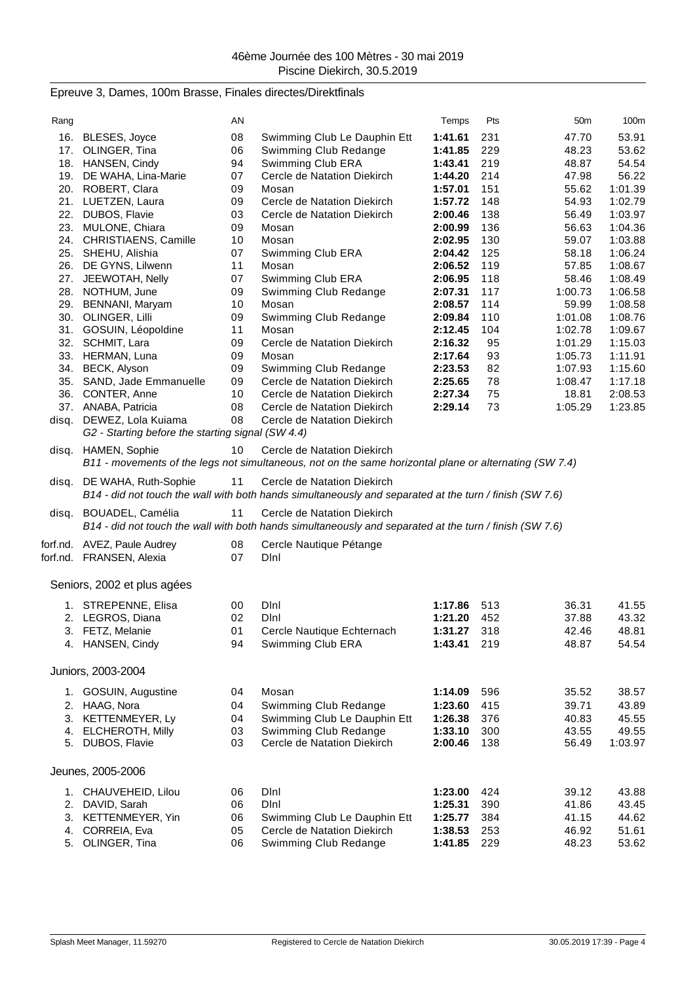# Epreuve 3, Dames, 100m Brasse, Finales directes/Direktfinals

| Rang  |                                                   | AN       |                                                                                                                                        | Temps              | Pts        | 50 <sub>m</sub>    | 100m               |
|-------|---------------------------------------------------|----------|----------------------------------------------------------------------------------------------------------------------------------------|--------------------|------------|--------------------|--------------------|
| 16.   | BLESES, Joyce                                     | 08       | Swimming Club Le Dauphin Ett                                                                                                           | 1:41.61            | 231        | 47.70              | 53.91              |
| 17.   | OLINGER, Tina                                     | 06       | Swimming Club Redange                                                                                                                  | 1:41.85            | 229        | 48.23              | 53.62              |
|       | 18. HANSEN, Cindy                                 | 94       | Swimming Club ERA                                                                                                                      | 1:43.41            | 219        | 48.87              | 54.54              |
|       | 19. DE WAHA, Lina-Marie                           | 07       | Cercle de Natation Diekirch                                                                                                            | 1:44.20            | 214        | 47.98              | 56.22              |
|       | 20. ROBERT, Clara                                 | 09       | Mosan                                                                                                                                  | 1:57.01            | 151        | 55.62              | 1:01.39            |
|       | 21. LUETZEN, Laura                                | 09       | Cercle de Natation Diekirch                                                                                                            | 1:57.72            | 148        | 54.93              | 1:02.79            |
|       | 22. DUBOS, Flavie                                 | 03       | Cercle de Natation Diekirch                                                                                                            | 2:00.46            | 138        | 56.49              | 1:03.97            |
| 23.   | MULONE, Chiara                                    | 09       | Mosan                                                                                                                                  | 2:00.99            | 136        | 56.63              | 1:04.36            |
|       | 24. CHRISTIAENS, Camille                          | 10       | Mosan                                                                                                                                  | 2:02.95            | 130        | 59.07              | 1:03.88            |
|       | 25. SHEHU, Alishia                                | 07       | Swimming Club ERA                                                                                                                      | 2:04.42            | 125        | 58.18              | 1:06.24            |
|       | 26. DE GYNS, Lilwenn                              | 11       | Mosan                                                                                                                                  | 2:06.52            | 119        | 57.85              | 1:08.67            |
|       | 27. JEEWOTAH, Nelly                               | 07       | Swimming Club ERA                                                                                                                      | 2:06.95            | 118        | 58.46              | 1:08.49            |
|       | 28. NOTHUM, June                                  | 09       | Swimming Club Redange                                                                                                                  | 2:07.31            | 117        | 1:00.73            | 1:06.58            |
|       | 29. BENNANI, Maryam                               | 10       | Mosan                                                                                                                                  | 2:08.57            | 114        | 59.99              | 1:08.58            |
|       | 30. OLINGER, Lilli                                | 09<br>11 | Swimming Club Redange<br>Mosan                                                                                                         | 2:09.84            | 110<br>104 | 1:01.08            | 1:08.76<br>1:09.67 |
| 32.   | 31. GOSUIN, Léopoldine<br>SCHMIT, Lara            | 09       | Cercle de Natation Diekirch                                                                                                            | 2:12.45<br>2:16.32 | 95         | 1:02.78<br>1:01.29 | 1:15.03            |
|       | 33. HERMAN, Luna                                  | 09       | Mosan                                                                                                                                  | 2:17.64            | 93         | 1:05.73            | 1:11.91            |
|       | 34. BECK, Alyson                                  | 09       | Swimming Club Redange                                                                                                                  | 2:23.53            | 82         | 1:07.93            | 1:15.60            |
|       | 35. SAND, Jade Emmanuelle                         | 09       | Cercle de Natation Diekirch                                                                                                            | 2:25.65            | 78         | 1:08.47            | 1:17.18            |
|       | 36. CONTER, Anne                                  | 10       | Cercle de Natation Diekirch                                                                                                            | 2:27.34            | 75         | 18.81              | 2:08.53            |
|       | 37. ANABA, Patricia                               | 08       | Cercle de Natation Diekirch                                                                                                            | 2:29.14            | 73         | 1:05.29            | 1:23.85            |
| disq. | DEWEZ, Lola Kuiama                                | 08       | Cercle de Natation Diekirch                                                                                                            |                    |            |                    |                    |
|       | G2 - Starting before the starting signal (SW 4.4) |          |                                                                                                                                        |                    |            |                    |                    |
| disq. | HAMEN, Sophie                                     | 10       | Cercle de Natation Diekirch                                                                                                            |                    |            |                    |                    |
|       |                                                   |          | B11 - movements of the legs not simultaneous, not on the same horizontal plane or alternating (SW 7.4)                                 |                    |            |                    |                    |
| disq. | DE WAHA, Ruth-Sophie                              | 11       | Cercle de Natation Diekirch                                                                                                            |                    |            |                    |                    |
|       |                                                   |          | B14 - did not touch the wall with both hands simultaneously and separated at the turn / finish (SW 7.6)                                |                    |            |                    |                    |
|       |                                                   |          |                                                                                                                                        |                    |            |                    |                    |
| disq. | BOUADEL, Camélia                                  | 11       | Cercle de Natation Diekirch<br>B14 - did not touch the wall with both hands simultaneously and separated at the turn / finish (SW 7.6) |                    |            |                    |                    |
|       |                                                   |          |                                                                                                                                        |                    |            |                    |                    |
|       | forf.nd. AVEZ, Paule Audrey                       | 08       | Cercle Nautique Pétange                                                                                                                |                    |            |                    |                    |
|       | forf.nd. FRANSEN, Alexia                          | 07       | Dini                                                                                                                                   |                    |            |                    |                    |
|       | Seniors, 2002 et plus agées                       |          |                                                                                                                                        |                    |            |                    |                    |
|       |                                                   |          |                                                                                                                                        |                    |            |                    |                    |
|       | 1. STREPENNE, Elisa                               | 00       | Dini                                                                                                                                   | 1:17.86            | 513        | 36.31              | 41.55              |
|       | 2. LEGROS, Diana                                  | 02       | Dini                                                                                                                                   | 1:21.20            | 452        | 37.88              | 43.32              |
|       | 3. FETZ, Melanie                                  | 01       | Cercle Nautique Echternach                                                                                                             | 1:31.27            | 318        | 42.46              | 48.81              |
|       | 4. HANSEN, Cindy                                  | 94       | Swimming Club ERA                                                                                                                      | 1:43.41            | 219        | 48.87              | 54.54              |
|       | Juniors, 2003-2004                                |          |                                                                                                                                        |                    |            |                    |                    |
|       |                                                   |          |                                                                                                                                        |                    |            |                    |                    |
|       | 1. GOSUIN, Augustine                              | 04       | Mosan                                                                                                                                  | 1:14.09            | 596        | 35.52              | 38.57              |
|       | 2. HAAG, Nora                                     | 04       | Swimming Club Redange                                                                                                                  | 1:23.60            | 415        | 39.71              | 43.89              |
|       | 3. KETTENMEYER, Ly                                | 04       | Swimming Club Le Dauphin Ett                                                                                                           | 1:26.38            | 376        | 40.83              | 45.55              |
|       | 4. ELCHEROTH, Milly<br>5. DUBOS, Flavie           | 03<br>03 | Swimming Club Redange<br>Cercle de Natation Diekirch                                                                                   | 1:33.10<br>2:00.46 | 300<br>138 | 43.55<br>56.49     | 49.55<br>1:03.97   |
|       |                                                   |          |                                                                                                                                        |                    |            |                    |                    |
|       | Jeunes, 2005-2006                                 |          |                                                                                                                                        |                    |            |                    |                    |
|       | 1. CHAUVEHEID, Lilou                              | 06       | Dini                                                                                                                                   | 1:23.00            | 424        | 39.12              | 43.88              |
|       | 2. DAVID, Sarah                                   | 06       | Dini                                                                                                                                   | 1:25.31            | 390        | 41.86              | 43.45              |
|       | 3. KETTENMEYER, Yin                               | 06       | Swimming Club Le Dauphin Ett                                                                                                           | 1:25.77            | 384        | 41.15              | 44.62              |
|       | 4. CORREIA, Eva                                   | 05       | Cercle de Natation Diekirch                                                                                                            | 1:38.53            | 253        | 46.92              | 51.61              |
|       | 5. OLINGER, Tina                                  | 06       | Swimming Club Redange                                                                                                                  | 1:41.85            | 229        | 48.23              | 53.62              |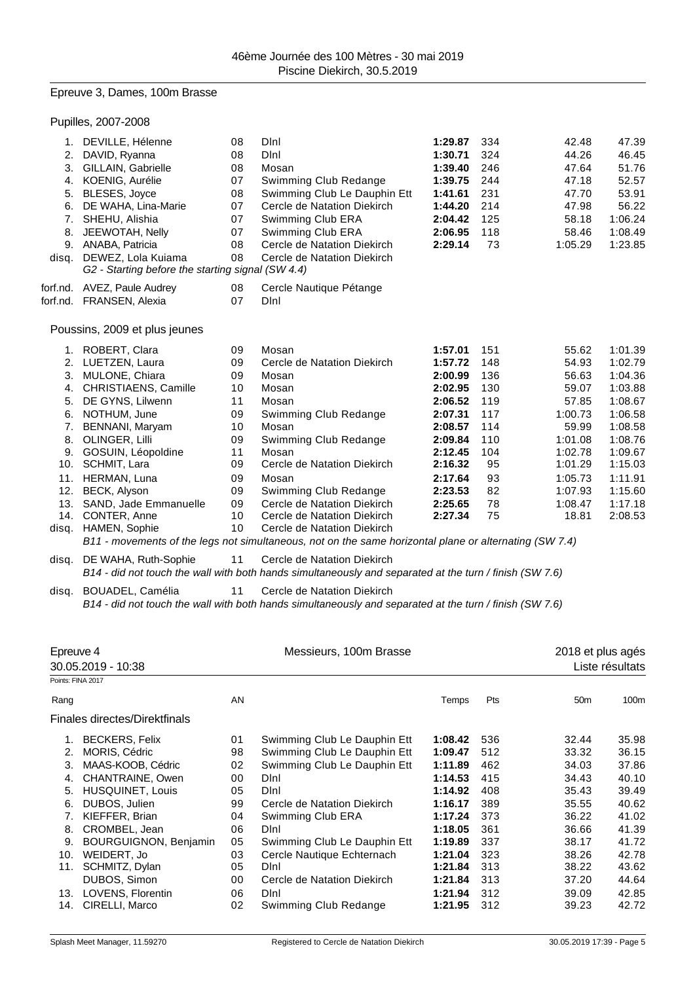## Epreuve 3, Dames, 100m Brasse

|                   | Pupilles, 2007-2008                                                                                                                                                                                |                                                    |                                                                                                                                                                                        |                                                                                                 |                                                            |                                                                                 |                                                                                     |
|-------------------|----------------------------------------------------------------------------------------------------------------------------------------------------------------------------------------------------|----------------------------------------------------|----------------------------------------------------------------------------------------------------------------------------------------------------------------------------------------|-------------------------------------------------------------------------------------------------|------------------------------------------------------------|---------------------------------------------------------------------------------|-------------------------------------------------------------------------------------|
| 6.                | 1. DEVILLE, Hélenne<br>2. DAVID, Ryanna<br>3. GILLAIN, Gabrielle<br>4. KOENIG, Aurélie<br>5. BLESES, Joyce<br>DE WAHA, Lina-Marie<br>7. SHEHU, Alishia<br>8. JEEWOTAH, Nelly<br>9. ANABA, Patricia | 08<br>08<br>08<br>07<br>08<br>07<br>07<br>07<br>08 | Dini<br>Dini<br>Mosan<br>Swimming Club Redange<br>Swimming Club Le Dauphin Ett<br>Cercle de Natation Diekirch<br>Swimming Club ERA<br>Swimming Club ERA<br>Cercle de Natation Diekirch | 1:29.87<br>1:30.71<br>1:39.40<br>1:39.75<br>1:41.61<br>1:44.20<br>2:04.42<br>2:06.95<br>2:29.14 | 334<br>324<br>246<br>244<br>231<br>214<br>125<br>118<br>73 | 42.48<br>44.26<br>47.64<br>47.18<br>47.70<br>47.98<br>58.18<br>58.46<br>1:05.29 | 47.39<br>46.45<br>51.76<br>52.57<br>53.91<br>56.22<br>1:06.24<br>1:08.49<br>1:23.85 |
|                   | disq. DEWEZ, Lola Kuiama<br>G2 - Starting before the starting signal (SW 4.4)                                                                                                                      | 08                                                 | Cercle de Natation Diekirch                                                                                                                                                            |                                                                                                 |                                                            |                                                                                 |                                                                                     |
|                   | forf.nd. AVEZ, Paule Audrey<br>forf.nd. FRANSEN, Alexia                                                                                                                                            | 08<br>07                                           | Cercle Nautique Pétange<br>DInl                                                                                                                                                        |                                                                                                 |                                                            |                                                                                 |                                                                                     |
|                   | Poussins, 2009 et plus jeunes                                                                                                                                                                      |                                                    |                                                                                                                                                                                        |                                                                                                 |                                                            |                                                                                 |                                                                                     |
|                   | 1. ROBERT, Clara                                                                                                                                                                                   | 09                                                 | Mosan                                                                                                                                                                                  | 1:57.01                                                                                         | 151                                                        | 55.62                                                                           | 1:01.39                                                                             |
|                   | 2. LUETZEN, Laura                                                                                                                                                                                  | 09                                                 | Cercle de Natation Diekirch                                                                                                                                                            | 1:57.72                                                                                         | 148                                                        | 54.93                                                                           | 1:02.79                                                                             |
|                   | 3. MULONE, Chiara                                                                                                                                                                                  | 09                                                 | Mosan                                                                                                                                                                                  | 2:00.99                                                                                         | 136                                                        | 56.63                                                                           | 1:04.36                                                                             |
|                   | 4. CHRISTIAENS, Camille                                                                                                                                                                            | 10                                                 | Mosan                                                                                                                                                                                  | 2:02.95                                                                                         | 130                                                        | 59.07                                                                           | 1:03.88                                                                             |
|                   | 5. DE GYNS, Lilwenn                                                                                                                                                                                | 11                                                 | Mosan                                                                                                                                                                                  | 2:06.52                                                                                         | 119                                                        | 57.85                                                                           | 1:08.67                                                                             |
|                   | 6. NOTHUM, June                                                                                                                                                                                    | 09                                                 | Swimming Club Redange                                                                                                                                                                  | 2:07.31                                                                                         | 117                                                        | 1:00.73                                                                         | 1:06.58                                                                             |
|                   | 7. BENNANI, Maryam                                                                                                                                                                                 | 10                                                 | Mosan                                                                                                                                                                                  | 2:08.57                                                                                         | 114                                                        | 59.99                                                                           | 1:08.58                                                                             |
|                   | 8. OLINGER, Lilli                                                                                                                                                                                  | 09                                                 | Swimming Club Redange                                                                                                                                                                  | 2:09.84                                                                                         | 110                                                        | 1:01.08                                                                         | 1:08.76                                                                             |
|                   | 9. GOSUIN, Léopoldine                                                                                                                                                                              | 11                                                 | Mosan                                                                                                                                                                                  | 2:12.45                                                                                         | 104                                                        | 1:02.78                                                                         | 1:09.67                                                                             |
|                   | 10. SCHMIT, Lara                                                                                                                                                                                   | 09                                                 | Cercle de Natation Diekirch                                                                                                                                                            | 2:16.32                                                                                         | 95                                                         | 1:01.29                                                                         | 1:15.03                                                                             |
|                   | 11. HERMAN, Luna                                                                                                                                                                                   | 09                                                 | Mosan                                                                                                                                                                                  | 2:17.64                                                                                         | 93                                                         | 1:05.73                                                                         | 1:11.91                                                                             |
|                   | 12. BECK, Alyson                                                                                                                                                                                   | 09                                                 | Swimming Club Redange                                                                                                                                                                  | 2:23.53                                                                                         | 82                                                         | 1:07.93                                                                         | 1:15.60                                                                             |
|                   | 13. SAND, Jade Emmanuelle                                                                                                                                                                          | 09                                                 | Cercle de Natation Diekirch                                                                                                                                                            | 2:25.65                                                                                         | 78                                                         | 1:08.47                                                                         | 1:17.18                                                                             |
|                   | 14. CONTER, Anne                                                                                                                                                                                   | 10                                                 | Cercle de Natation Diekirch                                                                                                                                                            | 2:27.34                                                                                         | 75                                                         | 18.81                                                                           | 2:08.53                                                                             |
| disq.             | HAMEN, Sophie                                                                                                                                                                                      | 10                                                 | Cercle de Natation Diekirch<br>B11 - movements of the legs not simultaneous, not on the same horizontal plane or alternating (SW 7.4)                                                  |                                                                                                 |                                                            |                                                                                 |                                                                                     |
|                   | disq. DE WAHA, Ruth-Sophie                                                                                                                                                                         | 11                                                 | Cercle de Natation Diekirch<br>B14 - did not touch the wall with both hands simultaneously and separated at the turn / finish (SW 7.6)                                                 |                                                                                                 |                                                            |                                                                                 |                                                                                     |
| disq.             | BOUADEL, Camélia                                                                                                                                                                                   | 11                                                 | Cercle de Natation Diekirch<br>B14 - did not touch the wall with both hands simultaneously and separated at the turn / finish (SW 7.6)                                                 |                                                                                                 |                                                            |                                                                                 |                                                                                     |
|                   |                                                                                                                                                                                                    |                                                    |                                                                                                                                                                                        |                                                                                                 |                                                            |                                                                                 |                                                                                     |
| Epreuve 4         |                                                                                                                                                                                                    |                                                    | Messieurs, 100m Brasse                                                                                                                                                                 |                                                                                                 |                                                            | 2018 et plus agés                                                               |                                                                                     |
|                   | 30.05.2019 - 10:38                                                                                                                                                                                 |                                                    |                                                                                                                                                                                        |                                                                                                 |                                                            |                                                                                 | Liste résultats                                                                     |
| Points: FINA 2017 |                                                                                                                                                                                                    |                                                    |                                                                                                                                                                                        |                                                                                                 |                                                            |                                                                                 |                                                                                     |
| Rang              |                                                                                                                                                                                                    | AN                                                 |                                                                                                                                                                                        | Temps                                                                                           | Pts                                                        | 50 <sub>m</sub>                                                                 | 100m                                                                                |
|                   | Finales directes/Direktfinals                                                                                                                                                                      |                                                    |                                                                                                                                                                                        |                                                                                                 |                                                            |                                                                                 |                                                                                     |
|                   | 1. BECKERS, Felix                                                                                                                                                                                  | 01                                                 | Swimming Club Le Dauphin Ett                                                                                                                                                           | 1:08.42                                                                                         | 536                                                        | 32.44                                                                           | 35.98                                                                               |
| 2.                | MORIS, Cédric                                                                                                                                                                                      | 98                                                 | Swimming Club Le Dauphin Ett                                                                                                                                                           | 1:09.47                                                                                         | 512                                                        | 33.32                                                                           | 36.15                                                                               |
| 3.                | MAAS-KOOB, Cédric                                                                                                                                                                                  | 02                                                 | Swimming Club Le Dauphin Ett                                                                                                                                                           | 1:11.89                                                                                         | 462                                                        | 34.03                                                                           | 37.86                                                                               |
| 4.                | CHANTRAINE, Owen                                                                                                                                                                                   | 00                                                 | Dini                                                                                                                                                                                   | 1:14.53                                                                                         | 415                                                        | 34.43                                                                           | 40.10                                                                               |
|                   | 5. HUSQUINET, Louis                                                                                                                                                                                | 05                                                 | Dini                                                                                                                                                                                   | 1:14.92                                                                                         | 408                                                        | 35.43                                                                           | 39.49                                                                               |
| 6.                | DUBOS, Julien                                                                                                                                                                                      | 99                                                 | Cercle de Natation Diekirch                                                                                                                                                            | 1:16.17                                                                                         | 389                                                        | 35.55                                                                           | 40.62                                                                               |
| 7.                | KIEFFER, Brian                                                                                                                                                                                     | 04                                                 | Swimming Club ERA                                                                                                                                                                      | 1:17.24                                                                                         | 373                                                        | 36.22                                                                           | 41.02                                                                               |
| 8.                | CROMBEL, Jean                                                                                                                                                                                      | 06                                                 | Dini                                                                                                                                                                                   | 1:18.05                                                                                         | 361                                                        | 36.66                                                                           | 41.39                                                                               |
|                   | 9. BOURGUIGNON, Benjamin                                                                                                                                                                           | 05                                                 | Swimming Club Le Dauphin Ett                                                                                                                                                           | 1:19.89                                                                                         | 337                                                        | 38.17                                                                           | 41.72                                                                               |
|                   | 10. WEIDERT, Jo                                                                                                                                                                                    | 03                                                 | Cercle Nautique Echternach                                                                                                                                                             | 1:21.04                                                                                         | 323                                                        | 38.26                                                                           | 42.78                                                                               |
|                   | 11. SCHMITZ, Dylan                                                                                                                                                                                 | 05                                                 | Dini                                                                                                                                                                                   | 1:21.84                                                                                         | 313                                                        | 38.22                                                                           | 43.62                                                                               |
|                   | DUBOS, Simon                                                                                                                                                                                       | 00                                                 | Cercle de Natation Diekirch                                                                                                                                                            | 1:21.84                                                                                         | 313                                                        | 37.20                                                                           | 44.64                                                                               |
|                   | 13. LOVENS, Florentin                                                                                                                                                                              | 06                                                 | DInl                                                                                                                                                                                   | 1:21.94                                                                                         | 312                                                        | 39.09                                                                           | 42.85                                                                               |
|                   | 14. CIRELLI, Marco                                                                                                                                                                                 | 02                                                 | Swimming Club Redange                                                                                                                                                                  | 1:21.95                                                                                         | 312                                                        | 39.23                                                                           | 42.72                                                                               |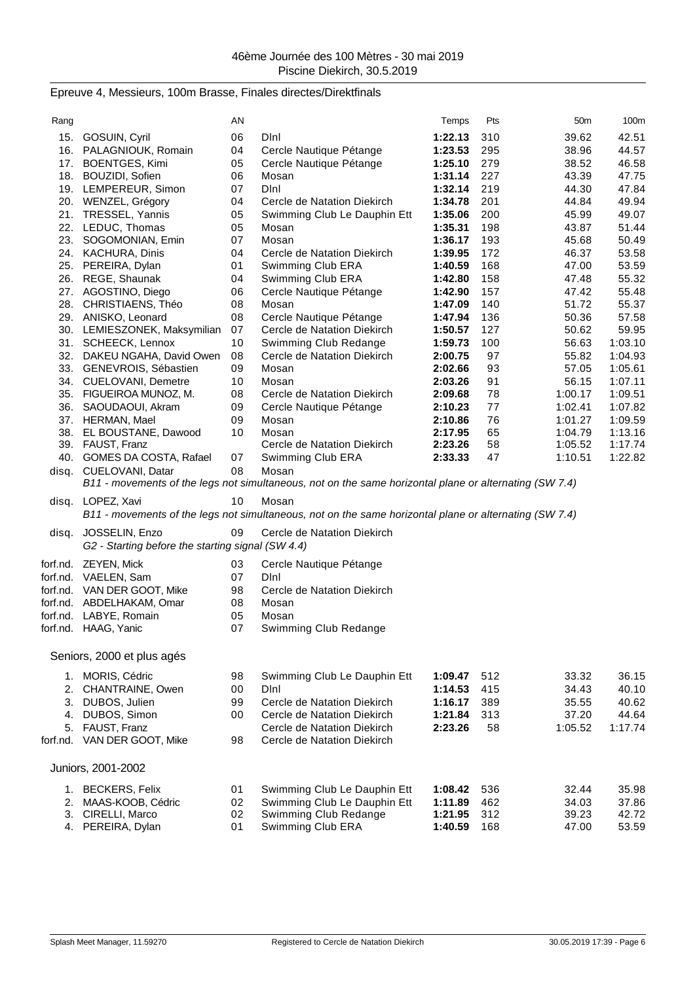# Epreuve 4, Messieurs, 100m Brasse, Finales directes/Direktfinals

| Rang  |                                                     | AN       |                                                                                                        | Temps              | Pts        | 50 <sub>m</sub> | 100m             |
|-------|-----------------------------------------------------|----------|--------------------------------------------------------------------------------------------------------|--------------------|------------|-----------------|------------------|
|       |                                                     |          |                                                                                                        |                    |            |                 |                  |
|       | 15. GOSUIN, Cyril<br>16. PALAGNIOUK, Romain         | 06<br>04 | Dini<br>Cercle Nautique Pétange                                                                        | 1:22.13            | 310        | 39.62           | 42.51            |
|       | 17. BOENTGES, Kimi                                  | 05       | Cercle Nautique Pétange                                                                                | 1:23.53<br>1:25.10 | 295<br>279 | 38.96<br>38.52  | 44.57<br>46.58   |
|       | 18. BOUZIDI, Sofien                                 | 06       | Mosan                                                                                                  | 1:31.14            | 227        | 43.39           | 47.75            |
|       | 19. LEMPEREUR, Simon                                | 07       | DInl                                                                                                   | 1:32.14            | 219        | 44.30           | 47.84            |
|       | 20. WENZEL, Grégory                                 | 04       | Cercle de Natation Diekirch                                                                            | 1:34.78            | 201        | 44.84           | 49.94            |
| 21.   | TRESSEL, Yannis                                     | 05       | Swimming Club Le Dauphin Ett                                                                           | 1:35.06            | 200        | 45.99           | 49.07            |
|       | 22. LEDUC, Thomas                                   | 05       | Mosan                                                                                                  | 1:35.31            | 198        | 43.87           | 51.44            |
|       | 23. SOGOMONIAN, Emin                                | 07       | Mosan                                                                                                  | 1:36.17            | 193        | 45.68           | 50.49            |
|       | 24. KACHURA, Dinis                                  | 04       | Cercle de Natation Diekirch                                                                            | 1:39.95            | 172        | 46.37           | 53.58            |
|       | 25. PEREIRA, Dylan                                  | 01       | Swimming Club ERA                                                                                      | 1:40.59            | 168        | 47.00           | 53.59            |
|       | 26. REGE, Shaunak                                   | 04       | Swimming Club ERA                                                                                      | 1:42.80            | 158        | 47.48           | 55.32            |
|       | 27. AGOSTINO, Diego                                 | 06       | Cercle Nautique Pétange                                                                                | 1:42.90            | 157        | 47.42           | 55.48            |
|       | 28. CHRISTIAENS, Théo                               | 08       | Mosan                                                                                                  | 1:47.09            | 140        | 51.72           | 55.37            |
|       | 29. ANISKO, Leonard                                 | 08       | Cercle Nautique Pétange                                                                                | 1:47.94            | 136        | 50.36           | 57.58            |
|       | 30. LEMIESZONEK, Maksymilian<br>31. SCHEECK, Lennox | 07<br>10 | Cercle de Natation Diekirch<br>Swimming Club Redange                                                   | 1:50.57<br>1:59.73 | 127<br>100 | 50.62<br>56.63  | 59.95<br>1:03.10 |
|       | 32. DAKEU NGAHA, David Owen                         | 08       | Cercle de Natation Diekirch                                                                            | 2:00.75            | 97         | 55.82           | 1:04.93          |
|       | 33. GENEVROIS, Sébastien                            | 09       | Mosan                                                                                                  | 2:02.66            | 93         | 57.05           | 1:05.61          |
|       | 34. CUELOVANI, Demetre                              | 10       | Mosan                                                                                                  | 2:03.26            | 91         | 56.15           | 1:07.11          |
|       | 35. FIGUEIROA MUNOZ, M.                             | 08       | Cercle de Natation Diekirch                                                                            | 2:09.68            | 78         | 1:00.17         | 1:09.51          |
|       | 36. SAOUDAOUI, Akram                                | 09       | Cercle Nautique Pétange                                                                                | 2:10.23            | 77         | 1:02.41         | 1:07.82          |
|       | 37. HERMAN, Mael                                    | 09       | Mosan                                                                                                  | 2:10.86            | 76         | 1:01.27         | 1:09.59          |
|       | 38. EL BOUSTANE, Dawood                             | 10       | Mosan                                                                                                  | 2:17.95            | 65         | 1:04.79         | 1:13.16          |
|       | 39. FAUST, Franz                                    |          | Cercle de Natation Diekirch                                                                            | 2:23.26            | 58         | 1:05.52         | 1:17.74          |
|       | 40. GOMES DA COSTA, Rafael                          | 07       | Swimming Club ERA                                                                                      | 2:33.33            | 47         | 1:10.51         | 1:22.82          |
|       | disq. CUELOVANI, Datar                              | 08       | Mosan                                                                                                  |                    |            |                 |                  |
|       |                                                     |          | B11 - movements of the legs not simultaneous, not on the same horizontal plane or alternating (SW 7.4) |                    |            |                 |                  |
|       | disq. LOPEZ, Xavi                                   | 10       | Mosan                                                                                                  |                    |            |                 |                  |
|       |                                                     |          | B11 - movements of the legs not simultaneous, not on the same horizontal plane or alternating (SW 7.4) |                    |            |                 |                  |
| disq. | JOSSELIN, Enzo                                      | 09       | Cercle de Natation Diekirch                                                                            |                    |            |                 |                  |
|       | G2 - Starting before the starting signal (SW 4.4)   |          |                                                                                                        |                    |            |                 |                  |
|       | forf.nd. ZEYEN, Mick                                | 03       | Cercle Nautique Pétange                                                                                |                    |            |                 |                  |
|       | forf.nd. VAELEN, Sam                                | 07       | Dini                                                                                                   |                    |            |                 |                  |
|       | forf.nd. VAN DER GOOT, Mike                         | 98       | Cercle de Natation Diekirch                                                                            |                    |            |                 |                  |
|       | forf.nd. ABDELHAKAM, Omar                           | 08       | Mosan                                                                                                  |                    |            |                 |                  |
|       | forf.nd. LABYE, Romain                              | 05       | Mosan                                                                                                  |                    |            |                 |                  |
|       | forf.nd. HAAG, Yanic                                | 07       | Swimming Club Redange                                                                                  |                    |            |                 |                  |
|       |                                                     |          |                                                                                                        |                    |            |                 |                  |
|       | Seniors, 2000 et plus agés                          |          |                                                                                                        |                    |            |                 |                  |
|       |                                                     |          |                                                                                                        |                    |            |                 |                  |
|       | 1. MORIS, Cédric<br>2. CHANTRAINE, Owen             | 98<br>00 | Swimming Club Le Dauphin Ett<br>DInl                                                                   | 1:09.47<br>1:14.53 | 512<br>415 | 33.32<br>34.43  | 36.15<br>40.10   |
|       | 3. DUBOS, Julien                                    | 99       | Cercle de Natation Diekirch                                                                            | 1:16.17            | 389        | 35.55           | 40.62            |
|       | 4. DUBOS, Simon                                     | 00       | Cercle de Natation Diekirch                                                                            | 1:21.84            | 313        | 37.20           | 44.64            |
|       | 5. FAUST, Franz                                     |          | Cercle de Natation Diekirch                                                                            | 2:23.26            | 58         | 1:05.52         | 1:17.74          |
|       | forf.nd. VAN DER GOOT, Mike                         | 98       | Cercle de Natation Diekirch                                                                            |                    |            |                 |                  |
|       |                                                     |          |                                                                                                        |                    |            |                 |                  |
|       | Juniors, 2001-2002                                  |          |                                                                                                        |                    |            |                 |                  |
|       |                                                     |          |                                                                                                        |                    |            |                 |                  |
|       |                                                     |          |                                                                                                        |                    |            |                 |                  |
|       | 1. BECKERS, Felix<br>2. MAAS-KOOB, Cédric           | 01<br>02 | Swimming Club Le Dauphin Ett<br>Swimming Club Le Dauphin Ett                                           | 1:08.42<br>1:11.89 | 536<br>462 | 32.44<br>34.03  | 35.98<br>37.86   |
|       | 3. CIRELLI, Marco<br>4. PEREIRA, Dylan              | 02<br>01 | Swimming Club Redange<br>Swimming Club ERA                                                             | 1:21.95<br>1:40.59 | 312        | 39.23           | 42.72<br>53.59   |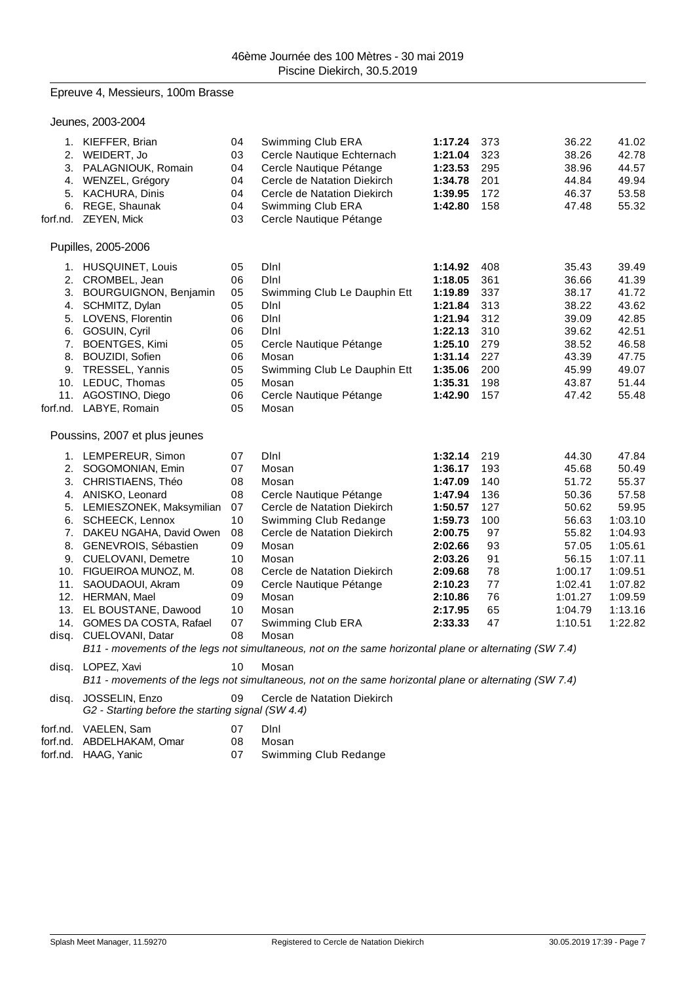## Epreuve 4, Messieurs, 100m Brasse

Jeunes, 2003-2004

| 6.             | 1. KIEFFER, Brian<br>2. WEIDERT, Jo<br>3. PALAGNIOUK, Romain<br>4. WENZEL, Grégory<br>5. KACHURA, Dinis<br>REGE, Shaunak<br>forf.nd. ZEYEN, Mick                                                                                                                                                                                                                                                      | 04<br>03<br>04<br>04<br>04<br>04<br>03                                                       | Swimming Club ERA<br>Cercle Nautique Echternach<br>Cercle Nautique Pétange<br>Cercle de Natation Diekirch<br>Cercle de Natation Diekirch<br>Swimming Club ERA<br>Cercle Nautique Pétange                                                                                                                                                                                                                                                                                                          | 1:17.24<br>1:21.04<br>1:23.53<br>1:34.78<br>1:39.95<br>1:42.80                                                                                         | 373<br>323<br>295<br>201<br>172<br>158                                                 | 36.22<br>38.26<br>38.96<br>44.84<br>46.37<br>47.48                                                                                   | 41.02<br>42.78<br>44.57<br>49.94<br>53.58<br>55.32                                                                                           |
|----------------|-------------------------------------------------------------------------------------------------------------------------------------------------------------------------------------------------------------------------------------------------------------------------------------------------------------------------------------------------------------------------------------------------------|----------------------------------------------------------------------------------------------|---------------------------------------------------------------------------------------------------------------------------------------------------------------------------------------------------------------------------------------------------------------------------------------------------------------------------------------------------------------------------------------------------------------------------------------------------------------------------------------------------|--------------------------------------------------------------------------------------------------------------------------------------------------------|----------------------------------------------------------------------------------------|--------------------------------------------------------------------------------------------------------------------------------------|----------------------------------------------------------------------------------------------------------------------------------------------|
|                | Pupilles, 2005-2006                                                                                                                                                                                                                                                                                                                                                                                   |                                                                                              |                                                                                                                                                                                                                                                                                                                                                                                                                                                                                                   |                                                                                                                                                        |                                                                                        |                                                                                                                                      |                                                                                                                                              |
| 5.<br>7.       | 1. HUSQUINET, Louis<br>2. CROMBEL, Jean<br>3. BOURGUIGNON, Benjamin<br>4. SCHMITZ, Dylan<br>LOVENS, Florentin<br>6. GOSUIN, Cyril<br><b>BOENTGES, Kimi</b><br>8. BOUZIDI, Sofien<br>9. TRESSEL, Yannis<br>10. LEDUC, Thomas<br>11. AGOSTINO, Diego<br>forf.nd. LABYE, Romain                                                                                                                          | 05<br>06<br>05<br>05<br>06<br>06<br>05<br>06<br>05<br>05<br>06<br>05                         | Dini<br>DInl<br>Swimming Club Le Dauphin Ett<br>Dinl<br>Dini<br>Dini<br>Cercle Nautique Pétange<br>Mosan<br>Swimming Club Le Dauphin Ett<br>Mosan<br>Cercle Nautique Pétange<br>Mosan                                                                                                                                                                                                                                                                                                             | 1:14.92<br>1:18.05<br>1:19.89<br>1:21.84<br>1:21.94<br>1:22.13<br>1:25.10<br>1:31.14<br>1:35.06<br>1:35.31<br>1:42.90                                  | 408<br>361<br>337<br>313<br>312<br>310<br>279<br>227<br>200<br>198<br>157              | 35.43<br>36.66<br>38.17<br>38.22<br>39.09<br>39.62<br>38.52<br>43.39<br>45.99<br>43.87<br>47.42                                      | 39.49<br>41.39<br>41.72<br>43.62<br>42.85<br>42.51<br>46.58<br>47.75<br>49.07<br>51.44<br>55.48                                              |
|                | Poussins, 2007 et plus jeunes                                                                                                                                                                                                                                                                                                                                                                         |                                                                                              |                                                                                                                                                                                                                                                                                                                                                                                                                                                                                                   |                                                                                                                                                        |                                                                                        |                                                                                                                                      |                                                                                                                                              |
| 5.<br>7.<br>8. | 1. LEMPEREUR, Simon<br>2. SOGOMONIAN, Emin<br>3. CHRISTIAENS, Théo<br>4. ANISKO, Leonard<br>LEMIESZONEK, Maksymilian<br>6. SCHEECK, Lennox<br>DAKEU NGAHA, David Owen<br>GENEVROIS, Sébastien<br>9. CUELOVANI, Demetre<br>10. FIGUEIROA MUNOZ, M.<br>11. SAOUDAOUI, Akram<br>12. HERMAN, Mael<br>13. EL BOUSTANE, Dawood<br>14. GOMES DA COSTA, Rafael<br>disq. CUELOVANI, Datar<br>disq. LOPEZ, Xavi | 07<br>07<br>08<br>08<br>07<br>10<br>08<br>09<br>10<br>08<br>09<br>09<br>10<br>07<br>08<br>10 | Dini<br>Mosan<br>Mosan<br>Cercle Nautique Pétange<br>Cercle de Natation Diekirch<br>Swimming Club Redange<br>Cercle de Natation Diekirch<br>Mosan<br>Mosan<br>Cercle de Natation Diekirch<br>Cercle Nautique Pétange<br>Mosan<br>Mosan<br>Swimming Club ERA<br>Mosan<br>B11 - movements of the legs not simultaneous, not on the same horizontal plane or alternating (SW 7.4)<br>Mosan<br>B11 - movements of the legs not simultaneous, not on the same horizontal plane or alternating (SW 7.4) | 1:32.14<br>1:36.17<br>1:47.09<br>1:47.94<br>1:50.57<br>1:59.73<br>2:00.75<br>2:02.66<br>2:03.26<br>2:09.68<br>2:10.23<br>2:10.86<br>2:17.95<br>2:33.33 | 219<br>193<br>140<br>136<br>127<br>100<br>97<br>93<br>91<br>78<br>77<br>76<br>65<br>47 | 44.30<br>45.68<br>51.72<br>50.36<br>50.62<br>56.63<br>55.82<br>57.05<br>56.15<br>1:00.17<br>1:02.41<br>1:01.27<br>1:04.79<br>1:10.51 | 47.84<br>50.49<br>55.37<br>57.58<br>59.95<br>1:03.10<br>1:04.93<br>1:05.61<br>1:07.11<br>1:09.51<br>1:07.82<br>1:09.59<br>1:13.16<br>1:22.82 |
| disq.          | JOSSELIN, Enzo<br>G2 - Starting before the starting signal (SW 4.4)                                                                                                                                                                                                                                                                                                                                   | 09                                                                                           | Cercle de Natation Diekirch                                                                                                                                                                                                                                                                                                                                                                                                                                                                       |                                                                                                                                                        |                                                                                        |                                                                                                                                      |                                                                                                                                              |
| forf.nd.       | VAELEN, Sam<br>forf.nd. ABDELHAKAM, Omar<br>forf.nd. HAAG, Yanic                                                                                                                                                                                                                                                                                                                                      | 07<br>08<br>07                                                                               | Dini<br>Mosan<br>Swimming Club Redange                                                                                                                                                                                                                                                                                                                                                                                                                                                            |                                                                                                                                                        |                                                                                        |                                                                                                                                      |                                                                                                                                              |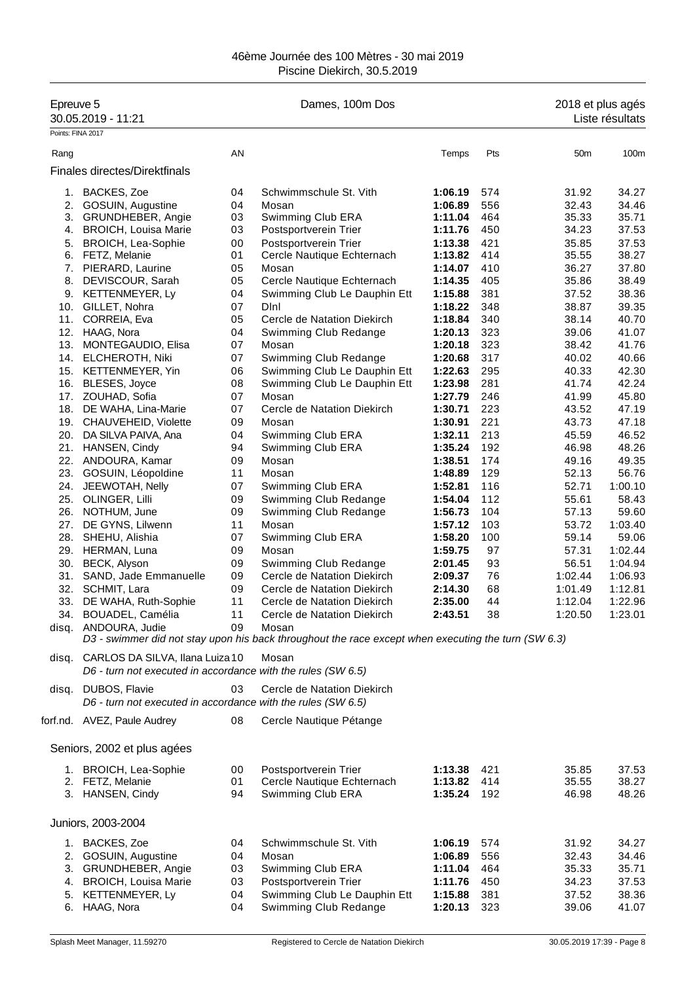## 46ème Journée des 100 Mètres - 30 mai 2019 Piscine Diekirch, 30.5.2019

| Epreuve 5<br>30.05.2019 - 11:21 |                                                                                                       |    | Dames, 100m Dos                                                                                              |                    |     | 2018 et plus agés | Liste résultats |
|---------------------------------|-------------------------------------------------------------------------------------------------------|----|--------------------------------------------------------------------------------------------------------------|--------------------|-----|-------------------|-----------------|
|                                 | Points: FINA 2017                                                                                     |    |                                                                                                              |                    |     |                   |                 |
| Rang                            |                                                                                                       | AN |                                                                                                              | Temps              | Pts | 50 <sub>m</sub>   | 100m            |
|                                 | Finales directes/Direktfinals                                                                         |    |                                                                                                              |                    |     |                   |                 |
|                                 | 1. BACKES, Zoe                                                                                        | 04 | Schwimmschule St. Vith                                                                                       | 1:06.19            | 574 | 31.92             | 34.27           |
|                                 | 2. GOSUIN, Augustine                                                                                  | 04 | Mosan                                                                                                        | 1:06.89            | 556 | 32.43             | 34.46           |
|                                 | 3. GRUNDHEBER, Angie                                                                                  | 03 | Swimming Club ERA                                                                                            | 1:11.04            | 464 | 35.33             | 35.71           |
|                                 | 4. BROICH, Louisa Marie                                                                               | 03 | Postsportverein Trier                                                                                        | 1:11.76            | 450 | 34.23             | 37.53           |
|                                 | 5. BROICH, Lea-Sophie                                                                                 | 00 | Postsportverein Trier                                                                                        | 1:13.38            | 421 | 35.85             | 37.53           |
|                                 | 6. FETZ, Melanie                                                                                      | 01 | Cercle Nautique Echternach                                                                                   | 1:13.82            | 414 | 35.55             | 38.27           |
|                                 | 7. PIERARD, Laurine                                                                                   | 05 | Mosan                                                                                                        | 1:14.07            | 410 | 36.27             | 37.80           |
| 8.                              | DEVISCOUR, Sarah                                                                                      | 05 | Cercle Nautique Echternach                                                                                   | 1:14.35            | 405 | 35.86             | 38.49           |
|                                 | 9. KETTENMEYER, Ly                                                                                    | 04 | Swimming Club Le Dauphin Ett                                                                                 | 1:15.88            | 381 | 37.52             | 38.36           |
|                                 | 10. GILLET, Nohra                                                                                     | 07 | DInl                                                                                                         | 1:18.22            | 348 | 38.87             | 39.35           |
|                                 | 11. CORREIA, Eva                                                                                      | 05 | Cercle de Natation Diekirch                                                                                  | 1:18.84            | 340 | 38.14             | 40.70           |
|                                 | 12. HAAG, Nora                                                                                        | 04 | Swimming Club Redange                                                                                        | 1:20.13            | 323 | 39.06             | 41.07           |
| 13.                             | MONTEGAUDIO, Elisa                                                                                    | 07 | Mosan                                                                                                        | 1:20.18            | 323 | 38.42             | 41.76           |
|                                 | 14. ELCHEROTH, Niki                                                                                   | 07 | Swimming Club Redange                                                                                        | 1:20.68            | 317 | 40.02             | 40.66           |
|                                 | 15. KETTENMEYER, Yin                                                                                  | 06 | Swimming Club Le Dauphin Ett                                                                                 | 1:22.63            | 295 | 40.33             | 42.30           |
|                                 | 16. BLESES, Joyce                                                                                     | 08 | Swimming Club Le Dauphin Ett                                                                                 | 1:23.98            | 281 | 41.74             | 42.24           |
|                                 | 17. ZOUHAD, Sofia                                                                                     | 07 | Mosan                                                                                                        | 1:27.79            | 246 | 41.99             | 45.80           |
|                                 | 18. DE WAHA, Lina-Marie                                                                               | 07 | Cercle de Natation Diekirch                                                                                  | 1:30.71            | 223 | 43.52             | 47.19           |
|                                 | 19. CHAUVEHEID, Violette                                                                              | 09 | Mosan                                                                                                        | 1:30.91            | 221 | 43.73             | 47.18           |
|                                 | 20. DA SILVA PAIVA, Ana                                                                               | 04 | Swimming Club ERA                                                                                            | 1:32.11            | 213 | 45.59             | 46.52           |
|                                 | 21. HANSEN, Cindy                                                                                     | 94 | Swimming Club ERA                                                                                            | 1:35.24            | 192 | 46.98             | 48.26           |
|                                 | 22. ANDOURA, Kamar                                                                                    | 09 | Mosan                                                                                                        | 1:38.51            | 174 | 49.16             | 49.35           |
|                                 | 23. GOSUIN, Léopoldine                                                                                | 11 | Mosan                                                                                                        | 1:48.89            | 129 | 52.13             | 56.76           |
|                                 | 24. JEEWOTAH, Nelly                                                                                   | 07 | Swimming Club ERA                                                                                            | 1:52.81            | 116 | 52.71             | 1:00.10         |
|                                 | 25. OLINGER, Lilli                                                                                    | 09 | Swimming Club Redange                                                                                        | 1:54.04            | 112 | 55.61             | 58.43           |
|                                 |                                                                                                       | 09 |                                                                                                              |                    | 104 | 57.13             | 59.60           |
|                                 | 26. NOTHUM, June                                                                                      |    | Swimming Club Redange                                                                                        | 1:56.73            |     |                   |                 |
|                                 | 27. DE GYNS, Lilwenn                                                                                  | 11 | Mosan                                                                                                        | 1:57.12            | 103 | 53.72             | 1:03.40         |
|                                 | 28. SHEHU, Alishia                                                                                    | 07 | Swimming Club ERA                                                                                            | 1:58.20            | 100 | 59.14             | 59.06           |
|                                 | 29. HERMAN, Luna                                                                                      | 09 | Mosan                                                                                                        | 1:59.75            | 97  | 57.31             | 1:02.44         |
|                                 | 30. BECK, Alyson                                                                                      | 09 | Swimming Club Redange                                                                                        | 2:01.45            | 93  | 56.51             | 1:04.94         |
|                                 | 31. SAND, Jade Emmanuelle                                                                             | 09 | Cercle de Natation Diekirch                                                                                  | 2:09.37            | 76  | 1:02.44           | 1:06.93         |
|                                 | 32. SCHMIT, Lara                                                                                      | 09 | Cercle de Natation Diekirch                                                                                  | 2:14.30            | 68  | 1:01.49           | 1:12.81         |
|                                 | 33. DE WAHA, Ruth-Sophie                                                                              | 11 | Cercle de Natation Diekirch                                                                                  | 2:35.00<br>2:43.51 | 44  | 1:12.04           | 1:22.96         |
|                                 | 34. BOUADEL, Camélia                                                                                  | 11 | Cercle de Natation Diekirch                                                                                  |                    | 38  | 1:20.50           | 1:23.01         |
|                                 | disq. ANDOURA, Judie                                                                                  | 09 | Mosan<br>D3 - swimmer did not stay upon his back throughout the race except when executing the turn (SW 6.3) |                    |     |                   |                 |
|                                 |                                                                                                       |    |                                                                                                              |                    |     |                   |                 |
|                                 | disq. CARLOS DA SILVA, Ilana Luiza 10<br>D6 - turn not executed in accordance with the rules (SW 6.5) |    | Mosan                                                                                                        |                    |     |                   |                 |
|                                 | disq. DUBOS, Flavie<br>D6 - turn not executed in accordance with the rules (SW 6.5)                   | 03 | Cercle de Natation Diekirch                                                                                  |                    |     |                   |                 |
|                                 | forf.nd. AVEZ, Paule Audrey                                                                           | 08 | Cercle Nautique Pétange                                                                                      |                    |     |                   |                 |
|                                 | Seniors, 2002 et plus agées                                                                           |    |                                                                                                              |                    |     |                   |                 |
|                                 | 1. BROICH, Lea-Sophie                                                                                 | 00 | Postsportverein Trier                                                                                        | 1:13.38            | 421 | 35.85             | 37.53           |
|                                 | 2. FETZ, Melanie                                                                                      | 01 | Cercle Nautique Echternach                                                                                   | 1:13.82            | 414 | 35.55             | 38.27           |
|                                 | 3. HANSEN, Cindy                                                                                      | 94 | Swimming Club ERA                                                                                            | 1:35.24            | 192 | 46.98             | 48.26           |
|                                 |                                                                                                       |    |                                                                                                              |                    |     |                   |                 |
|                                 | Juniors, 2003-2004                                                                                    |    |                                                                                                              |                    |     |                   |                 |
|                                 | 1. BACKES, Zoe                                                                                        | 04 | Schwimmschule St. Vith                                                                                       | 1:06.19            | 574 | 31.92             | 34.27           |
|                                 | 2. GOSUIN, Augustine                                                                                  | 04 | Mosan                                                                                                        | 1:06.89            | 556 | 32.43             | 34.46           |
|                                 | 3. GRUNDHEBER, Angie                                                                                  | 03 | Swimming Club ERA                                                                                            | 1:11.04            | 464 | 35.33             | 35.71           |
|                                 | 4. BROICH, Louisa Marie                                                                               | 03 | Postsportverein Trier                                                                                        | 1:11.76            | 450 | 34.23             | 37.53           |
|                                 | 5. KETTENMEYER, Ly                                                                                    | 04 | Swimming Club Le Dauphin Ett                                                                                 | 1:15.88            | 381 | 37.52             | 38.36           |
|                                 | 6. HAAG, Nora                                                                                         | 04 | Swimming Club Redange                                                                                        | 1:20.13            | 323 | 39.06             | 41.07           |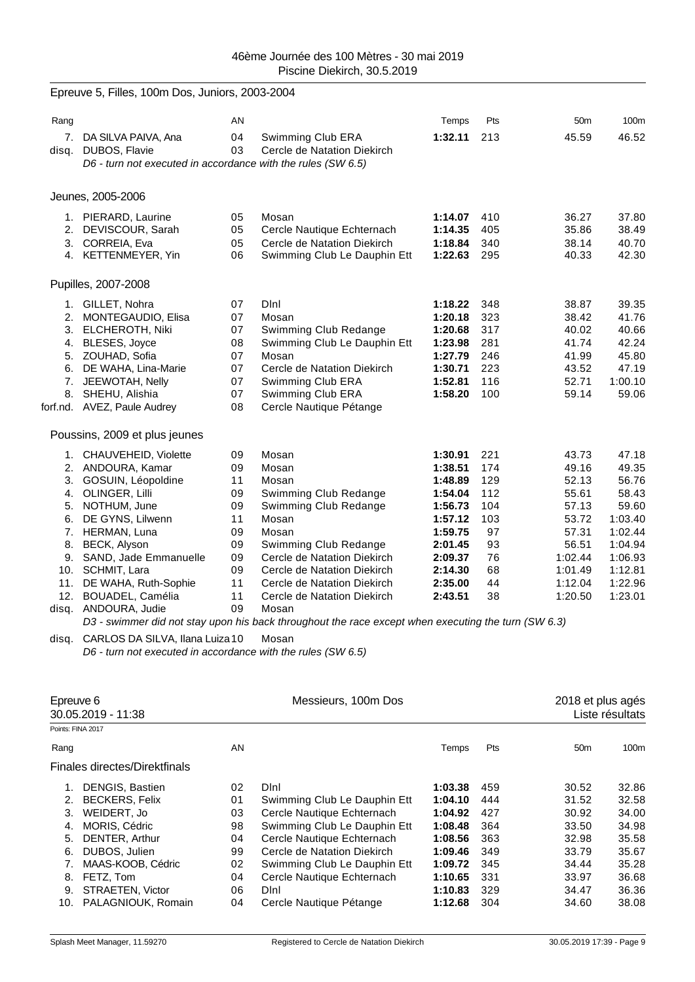|       | Epreuve 5, Filles, 100m Dos, Juniors, 2003-2004                                                                                                                                                                                                                                                        |                                                                            |                                                                                                                                                                                                                                                                                                                                                                  |                                                                                                                                  |                                                                            |                                                                                                                  |                                                                                                                        |
|-------|--------------------------------------------------------------------------------------------------------------------------------------------------------------------------------------------------------------------------------------------------------------------------------------------------------|----------------------------------------------------------------------------|------------------------------------------------------------------------------------------------------------------------------------------------------------------------------------------------------------------------------------------------------------------------------------------------------------------------------------------------------------------|----------------------------------------------------------------------------------------------------------------------------------|----------------------------------------------------------------------------|------------------------------------------------------------------------------------------------------------------|------------------------------------------------------------------------------------------------------------------------|
| Rang  |                                                                                                                                                                                                                                                                                                        | AN                                                                         |                                                                                                                                                                                                                                                                                                                                                                  | Temps                                                                                                                            | Pts                                                                        | 50 <sub>m</sub>                                                                                                  | 100m                                                                                                                   |
|       | 7. DA SILVA PAIVA, Ana<br>disq. DUBOS, Flavie<br>D6 - turn not executed in accordance with the rules (SW 6.5)                                                                                                                                                                                          | 04<br>03                                                                   | Swimming Club ERA<br>Cercle de Natation Diekirch                                                                                                                                                                                                                                                                                                                 | 1:32.11                                                                                                                          | 213                                                                        | 45.59                                                                                                            | 46.52                                                                                                                  |
|       | Jeunes, 2005-2006                                                                                                                                                                                                                                                                                      |                                                                            |                                                                                                                                                                                                                                                                                                                                                                  |                                                                                                                                  |                                                                            |                                                                                                                  |                                                                                                                        |
|       | 1. PIERARD, Laurine<br>2. DEVISCOUR, Sarah<br>3. CORREIA, Eva<br>4. KETTENMEYER, Yin                                                                                                                                                                                                                   | 05<br>05<br>05<br>06                                                       | Mosan<br>Cercle Nautique Echternach<br>Cercle de Natation Diekirch<br>Swimming Club Le Dauphin Ett                                                                                                                                                                                                                                                               | 1:14.07<br>1:14.35<br>1:18.84<br>1:22.63                                                                                         | 410<br>405<br>340<br>295                                                   | 36.27<br>35.86<br>38.14<br>40.33                                                                                 | 37.80<br>38.49<br>40.70<br>42.30                                                                                       |
|       | Pupilles, 2007-2008                                                                                                                                                                                                                                                                                    |                                                                            |                                                                                                                                                                                                                                                                                                                                                                  |                                                                                                                                  |                                                                            |                                                                                                                  |                                                                                                                        |
|       | 1. GILLET, Nohra<br>2. MONTEGAUDIO, Elisa<br>3. ELCHEROTH, Niki<br>4. BLESES, Joyce<br>5. ZOUHAD, Sofia<br>6. DE WAHA, Lina-Marie<br>7. JEEWOTAH, Nelly<br>8. SHEHU, Alishia<br>forf.nd. AVEZ, Paule Audrey                                                                                            | 07<br>07<br>07<br>08<br>07<br>07<br>07<br>07<br>08                         | Dini<br>Mosan<br>Swimming Club Redange<br>Swimming Club Le Dauphin Ett<br>Mosan<br>Cercle de Natation Diekirch<br>Swimming Club ERA<br>Swimming Club ERA<br>Cercle Nautique Pétange                                                                                                                                                                              | 1:18.22<br>1:20.18<br>1:20.68<br>1:23.98<br>1:27.79<br>1:30.71<br>1:52.81<br>1:58.20                                             | 348<br>323<br>317<br>281<br>246<br>223<br>116<br>100                       | 38.87<br>38.42<br>40.02<br>41.74<br>41.99<br>43.52<br>52.71<br>59.14                                             | 39.35<br>41.76<br>40.66<br>42.24<br>45.80<br>47.19<br>1:00.10<br>59.06                                                 |
|       | Poussins, 2009 et plus jeunes                                                                                                                                                                                                                                                                          |                                                                            |                                                                                                                                                                                                                                                                                                                                                                  |                                                                                                                                  |                                                                            |                                                                                                                  |                                                                                                                        |
|       | 1. CHAUVEHEID, Violette<br>2. ANDOURA, Kamar<br>3. GOSUIN, Léopoldine<br>4. OLINGER, Lilli<br>5. NOTHUM, June<br>6. DE GYNS, Lilwenn<br>7. HERMAN, Luna<br>8. BECK, Alyson<br>9. SAND, Jade Emmanuelle<br>10. SCHMIT, Lara<br>11. DE WAHA, Ruth-Sophie<br>12. BOUADEL, Camélia<br>disq. ANDOURA, Judie | 09<br>09<br>11<br>09<br>09<br>11<br>09<br>09<br>09<br>09<br>11<br>11<br>09 | Mosan<br>Mosan<br>Mosan<br>Swimming Club Redange<br>Swimming Club Redange<br>Mosan<br>Mosan<br>Swimming Club Redange<br>Cercle de Natation Diekirch<br>Cercle de Natation Diekirch<br>Cercle de Natation Diekirch<br>Cercle de Natation Diekirch<br>Mosan<br>D3 - swimmer did not stay upon his back throughout the race except when executing the turn (SW 6.3) | 1:30.91<br>1:38.51<br>1:48.89<br>1:54.04<br>1:56.73<br>1:57.12<br>1:59.75<br>2:01.45<br>2:09.37<br>2:14.30<br>2:35.00<br>2:43.51 | 221<br>174<br>129<br>112<br>104<br>103<br>97<br>93<br>76<br>68<br>44<br>38 | 43.73<br>49.16<br>52.13<br>55.61<br>57.13<br>53.72<br>57.31<br>56.51<br>1:02.44<br>1:01.49<br>1:12.04<br>1:20.50 | 47.18<br>49.35<br>56.76<br>58.43<br>59.60<br>1:03.40<br>1:02.44<br>1:04.94<br>1:06.93<br>1:12.81<br>1:22.96<br>1:23.01 |
| disg. | CARLOS DA SILVA, Ilana Luiza 10<br>D6 - turn not executed in accordance with the rules (SW 6.5)                                                                                                                                                                                                        |                                                                            | Mosan                                                                                                                                                                                                                                                                                                                                                            |                                                                                                                                  |                                                                            |                                                                                                                  |                                                                                                                        |

| Epreuve 6<br>30.05.2019 - 11:38 |                               |    | Messieurs, 100m Dos          |         |     | 2018 et plus agés<br>Liste résultats |       |  |
|---------------------------------|-------------------------------|----|------------------------------|---------|-----|--------------------------------------|-------|--|
| Points: FINA 2017               |                               |    |                              |         |     |                                      |       |  |
| Rang                            |                               | AN |                              | Temps   | Pts | 50 <sub>m</sub>                      | 100m  |  |
|                                 | Finales directes/Direktfinals |    |                              |         |     |                                      |       |  |
| 1.                              | <b>DENGIS, Bastien</b>        | 02 | Dini                         | 1:03.38 | 459 | 30.52                                | 32.86 |  |
| 2.                              | <b>BECKERS, Felix</b>         | 01 | Swimming Club Le Dauphin Ett | 1:04.10 | 444 | 31.52                                | 32.58 |  |
| 3.                              | WEIDERT, Jo                   | 03 | Cercle Nautique Echternach   | 1:04.92 | 427 | 30.92                                | 34.00 |  |
| 4.                              | MORIS, Cédric                 | 98 | Swimming Club Le Dauphin Ett | 1:08.48 | 364 | 33.50                                | 34.98 |  |
| 5.                              | DENTER, Arthur                | 04 | Cercle Nautique Echternach   | 1:08.56 | 363 | 32.98                                | 35.58 |  |
| 6.                              | DUBOS, Julien                 | 99 | Cercle de Natation Diekirch  | 1:09.46 | 349 | 33.79                                | 35.67 |  |
|                                 | MAAS-KOOB, Cédric             | 02 | Swimming Club Le Dauphin Ett | 1:09.72 | 345 | 34.44                                | 35.28 |  |
| 8.                              | FETZ, Tom                     | 04 | Cercle Nautique Echternach   | 1:10.65 | 331 | 33.97                                | 36.68 |  |
| 9.                              | STRAETEN, Victor              | 06 | Dini                         | 1:10.83 | 329 | 34.47                                | 36.36 |  |
| 10.                             | PALAGNIOUK, Romain            | 04 | Cercle Nautique Pétange      | 1:12.68 | 304 | 34.60                                | 38.08 |  |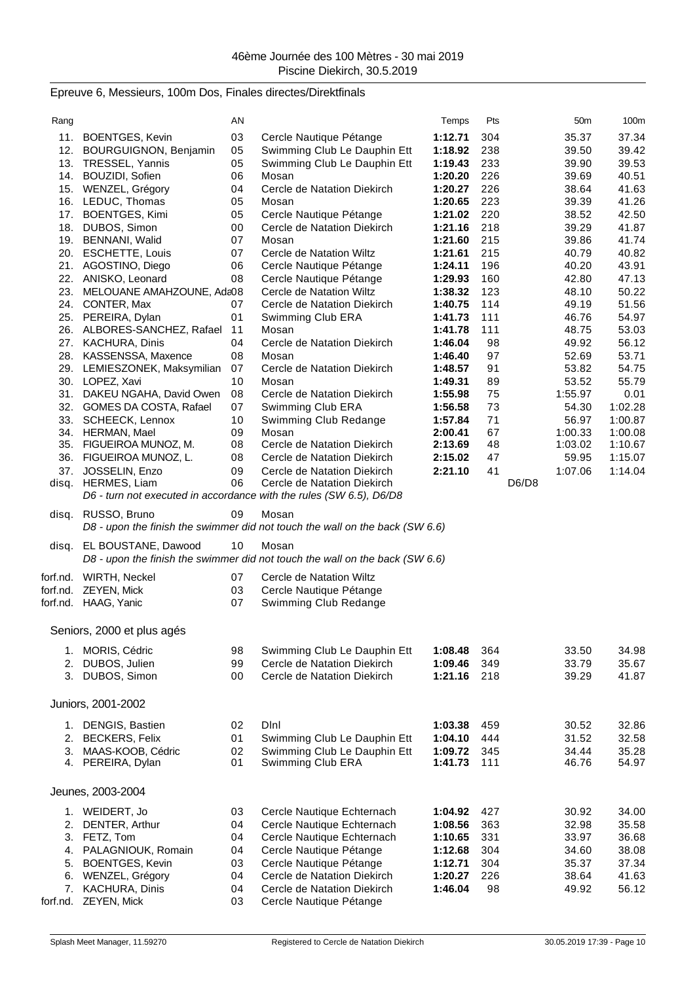## Epreuve 6, Messieurs, 100m Dos, Finales directes/Direktfinals

|          |                                           | ΑN       |                                                                              |                    | Pts        |       | 50 <sub>m</sub> | 100m           |
|----------|-------------------------------------------|----------|------------------------------------------------------------------------------|--------------------|------------|-------|-----------------|----------------|
| Rang     |                                           |          |                                                                              | Temps              |            |       |                 |                |
| 11.      | <b>BOENTGES, Kevin</b>                    | 03       | Cercle Nautique Pétange                                                      | 1:12.71            | 304        |       | 35.37           | 37.34          |
|          | 12. BOURGUIGNON, Benjamin                 | 05       | Swimming Club Le Dauphin Ett                                                 | 1:18.92            | 238        |       | 39.50           | 39.42          |
|          | 13. TRESSEL, Yannis                       | 05       | Swimming Club Le Dauphin Ett                                                 | 1:19.43            | 233        |       | 39.90           | 39.53          |
|          | 14. BOUZIDI, Sofien                       | 06       | Mosan                                                                        | 1:20.20            | 226        |       | 39.69           | 40.51          |
|          | 15. WENZEL, Grégory                       | 04       | Cercle de Natation Diekirch                                                  | 1:20.27            | 226        |       | 38.64           | 41.63          |
|          | 16. LEDUC, Thomas                         | 05       | Mosan                                                                        | 1:20.65            | 223        |       | 39.39           | 41.26          |
|          | 17. BOENTGES, Kimi                        | 05       | Cercle Nautique Pétange                                                      | 1:21.02            | 220        |       | 38.52           | 42.50          |
|          | 18. DUBOS, Simon                          | 00       | Cercle de Natation Diekirch                                                  | 1:21.16            | 218        |       | 39.29           | 41.87          |
|          | 19. BENNANI, Walid                        | 07       | Mosan                                                                        | 1:21.60            | 215        |       | 39.86           | 41.74          |
|          | 20. ESCHETTE, Louis                       | 07       | Cercle de Natation Wiltz                                                     | 1:21.61            | 215        |       | 40.79           | 40.82          |
|          | 21. AGOSTINO, Diego                       | 06       | Cercle Nautique Pétange                                                      | 1:24.11            | 196        |       | 40.20           | 43.91          |
|          | 22. ANISKO, Leonard                       | 08       | Cercle Nautique Pétange                                                      | 1:29.93            | 160        |       | 42.80           | 47.13          |
| 23.      | MELOUANE AMAHZOUNE, Ada08                 |          | Cercle de Natation Wiltz                                                     | 1:38.32            | 123        |       | 48.10           | 50.22          |
|          | 24. CONTER, Max                           | 07       | Cercle de Natation Diekirch                                                  | 1:40.75            | 114        |       | 49.19           | 51.56          |
|          | 25. PEREIRA, Dylan                        | 01       | Swimming Club ERA                                                            | 1:41.73            | 111        |       | 46.76           | 54.97          |
|          | 26. ALBORES-SANCHEZ, Rafael               | 11       | Mosan                                                                        | 1:41.78            | 111        |       | 48.75           | 53.03          |
|          | 27. KACHURA, Dinis                        | 04       | Cercle de Natation Diekirch                                                  | 1:46.04            | 98         |       | 49.92           | 56.12          |
|          | 28. KASSENSSA, Maxence                    | 08       | Mosan                                                                        | 1:46.40            | 97         |       | 52.69           | 53.71          |
|          | 29. LEMIESZONEK, Maksymilian              | 07       | Cercle de Natation Diekirch                                                  | 1:48.57            | 91         |       | 53.82           | 54.75          |
|          | 30. LOPEZ, Xavi                           | 10       | Mosan                                                                        | 1:49.31            | 89         |       | 53.52           | 55.79          |
|          | 31. DAKEU NGAHA, David Owen               | 08       | Cercle de Natation Diekirch                                                  | 1:55.98            | 75         |       | 1:55.97         | 0.01           |
|          | 32. GOMES DA COSTA, Rafael                | 07       | Swimming Club ERA                                                            | 1:56.58            | 73         |       | 54.30           | 1:02.28        |
|          | 33. SCHEECK, Lennox                       | 10       | Swimming Club Redange                                                        | 1:57.84            | 71         |       | 56.97           | 1:00.87        |
|          | 34. HERMAN, Mael                          | 09       | Mosan                                                                        | 2:00.41            | 67         |       | 1:00.33         | 1:00.08        |
|          | 35. FIGUEIROA MUNOZ, M.                   | 08       | Cercle de Natation Diekirch                                                  | 2:13.69            | 48         |       | 1:03.02         | 1:10.67        |
|          | 36. FIGUEIROA MUNOZ, L.                   | 08       | Cercle de Natation Diekirch                                                  | 2:15.02            | 47         |       | 59.95           | 1:15.07        |
|          | 37. JOSSELIN, Enzo                        | 09       | Cercle de Natation Diekirch                                                  | 2:21.10            | 41         |       | 1:07.06         | 1:14.04        |
|          | disq. HERMES, Liam                        | 06       | Cercle de Natation Diekirch                                                  |                    |            | D6/D8 |                 |                |
|          |                                           |          | D6 - turn not executed in accordance with the rules (SW 6.5), D6/D8          |                    |            |       |                 |                |
|          | disq. RUSSO, Bruno                        | 09       | Mosan                                                                        |                    |            |       |                 |                |
|          |                                           |          | D8 - upon the finish the swimmer did not touch the wall on the back (SW 6.6) |                    |            |       |                 |                |
|          |                                           |          |                                                                              |                    |            |       |                 |                |
| disq.    | EL BOUSTANE, Dawood                       | 10       | Mosan                                                                        |                    |            |       |                 |                |
|          |                                           |          | D8 - upon the finish the swimmer did not touch the wall on the back (SW 6.6) |                    |            |       |                 |                |
|          | forf.nd. WIRTH, Neckel                    | 07       | Cercle de Natation Wiltz                                                     |                    |            |       |                 |                |
| forf.nd. | <b>ZEYEN, Mick</b>                        | 03       | Cercle Nautique Pétange                                                      |                    |            |       |                 |                |
|          | forf.nd. HAAG, Yanic                      | 07       | Swimming Club Redange                                                        |                    |            |       |                 |                |
|          |                                           |          |                                                                              |                    |            |       |                 |                |
|          | Seniors, 2000 et plus agés                |          |                                                                              |                    |            |       |                 |                |
|          |                                           |          |                                                                              |                    |            |       |                 |                |
| 1.       | MORIS, Cédric                             | 98       | Swimming Club Le Dauphin Ett                                                 | 1:08.48            | 364        |       | 33.50           | 34.98          |
| 2.       | DUBOS, Julien                             | 99       | Cercle de Natation Diekirch                                                  | 1:09.46            | 349        |       | 33.79           | 35.67          |
| 3.       | DUBOS, Simon                              | 00       | Cercle de Natation Diekirch                                                  | 1:21.16            | 218        |       | 39.29           | 41.87          |
|          |                                           |          |                                                                              |                    |            |       |                 |                |
|          | Juniors, 2001-2002                        |          |                                                                              |                    |            |       |                 |                |
|          |                                           |          |                                                                              |                    |            |       |                 |                |
|          | 1. DENGIS, Bastien                        | 02       | Dini                                                                         | 1:03.38            | 459        |       | 30.52           | 32.86<br>32.58 |
|          | 2. BECKERS, Felix                         | 01<br>02 | Swimming Club Le Dauphin Ett<br>Swimming Club Le Dauphin Ett                 | 1:04.10            | 444        |       | 31.52           |                |
|          | 3. MAAS-KOOB, Cédric<br>4. PEREIRA, Dylan | 01       | Swimming Club ERA                                                            | 1:09.72<br>1:41.73 | 345<br>111 |       | 34.44<br>46.76  | 35.28<br>54.97 |
|          |                                           |          |                                                                              |                    |            |       |                 |                |
|          | Jeunes, 2003-2004                         |          |                                                                              |                    |            |       |                 |                |
|          |                                           |          |                                                                              |                    |            |       |                 |                |
|          | 1. WEIDERT, Jo                            | 03       | Cercle Nautique Echternach                                                   | 1:04.92            | 427        |       | 30.92           | 34.00          |
| 2.       | DENTER, Arthur                            | 04       | Cercle Nautique Echternach                                                   | 1:08.56            | 363        |       | 32.98           | 35.58          |
| 3.       | FETZ, Tom                                 | 04       | Cercle Nautique Echternach                                                   | 1:10.65            | 331        |       | 33.97           | 36.68          |
|          | 4. PALAGNIOUK, Romain                     | 04       | Cercle Nautique Pétange                                                      | 1:12.68            | 304        |       | 34.60           | 38.08          |
| 5.       | <b>BOENTGES, Kevin</b>                    | 03       | Cercle Nautique Pétange                                                      | 1:12.71            | 304        |       | 35.37           | 37.34          |
|          |                                           | 04       | Cercle de Natation Diekirch                                                  | 1:20.27            | 226        |       | 38.64           | 41.63          |
|          | 6. WENZEL, Grégory                        |          |                                                                              |                    |            |       |                 |                |
|          | 7. KACHURA, Dinis                         | 04       | Cercle de Natation Diekirch                                                  | 1:46.04            | 98         |       | 49.92           | 56.12          |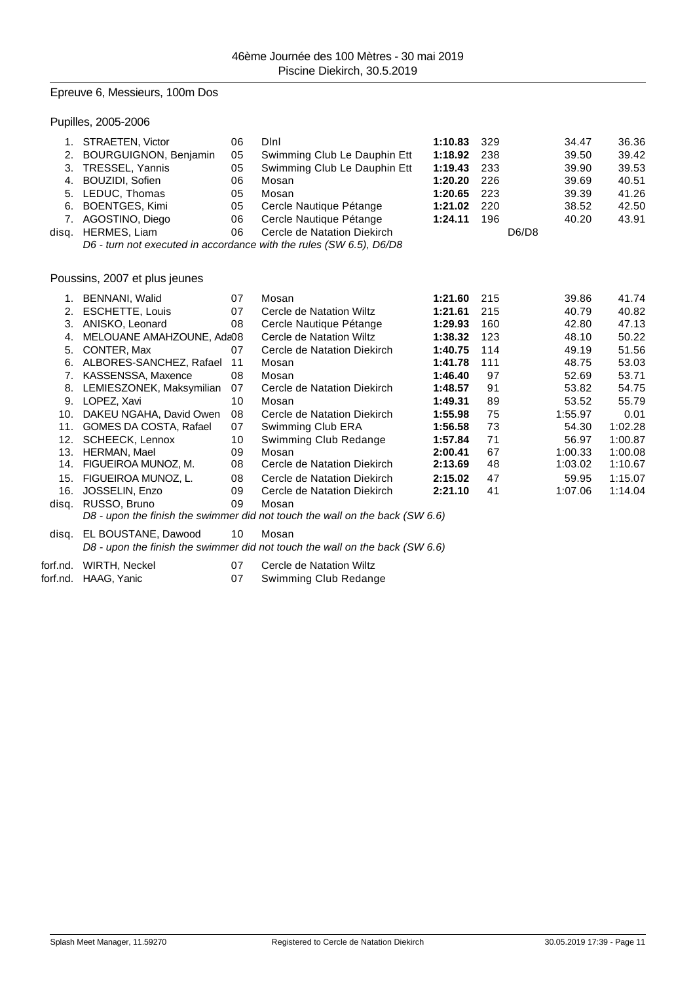## Epreuve 6, Messieurs, 100m Dos

Pupilles, 2005-2006

|       | STRAETEN, Victor              | 06 | Dini                                                                         | 1:10.83 | 329 | 34.47   | 36.36   |
|-------|-------------------------------|----|------------------------------------------------------------------------------|---------|-----|---------|---------|
| 2.    | <b>BOURGUIGNON, Benjamin</b>  | 05 | Swimming Club Le Dauphin Ett                                                 | 1:18.92 | 238 | 39.50   | 39.42   |
| 3.    | <b>TRESSEL, Yannis</b>        | 05 | Swimming Club Le Dauphin Ett                                                 | 1:19.43 | 233 | 39.90   | 39.53   |
| 4.    | BOUZIDI, Sofien               | 06 | Mosan                                                                        | 1:20.20 | 226 | 39.69   | 40.51   |
| 5.    | LEDUC, Thomas                 | 05 | Mosan                                                                        | 1:20.65 | 223 | 39.39   | 41.26   |
| 6.    | <b>BOENTGES, Kimi</b>         | 05 | Cercle Nautique Pétange                                                      | 1:21.02 | 220 | 38.52   | 42.50   |
| 7.    | AGOSTINO, Diego               | 06 | Cercle Nautique Pétange                                                      | 1:24.11 | 196 | 40.20   | 43.91   |
| disq. | HERMES, Liam                  | 06 | Cercle de Natation Diekirch                                                  |         |     | D6/D8   |         |
|       |                               |    | D6 - turn not executed in accordance with the rules (SW 6.5), D6/D8          |         |     |         |         |
|       | Poussins, 2007 et plus jeunes |    |                                                                              |         |     |         |         |
| 1.    | <b>BENNANI, Walid</b>         | 07 | Mosan                                                                        | 1:21.60 | 215 | 39.86   | 41.74   |
| 2.    | <b>ESCHETTE, Louis</b>        | 07 | Cercle de Natation Wiltz                                                     | 1:21.61 | 215 | 40.79   | 40.82   |
| 3.    | ANISKO, Leonard               | 08 | Cercle Nautique Pétange                                                      | 1:29.93 | 160 | 42.80   | 47.13   |
| 4.    | MELOUANE AMAHZOUNE, Ada08     |    | Cercle de Natation Wiltz                                                     | 1:38.32 | 123 | 48.10   | 50.22   |
| 5.    | CONTER, Max                   | 07 | Cercle de Natation Diekirch                                                  | 1:40.75 | 114 | 49.19   | 51.56   |
| 6.    | ALBORES-SANCHEZ, Rafael       | 11 | Mosan                                                                        | 1:41.78 | 111 | 48.75   | 53.03   |
| 7.    | KASSENSSA, Maxence            | 08 | Mosan                                                                        | 1:46.40 | 97  | 52.69   | 53.71   |
| 8.    | LEMIESZONEK, Maksymilian      | 07 | Cercle de Natation Diekirch                                                  | 1:48.57 | 91  | 53.82   | 54.75   |
| 9.    | LOPEZ, Xavi                   | 10 | Mosan                                                                        | 1:49.31 | 89  | 53.52   | 55.79   |
| 10.   | DAKEU NGAHA, David Owen       | 08 | Cercle de Natation Diekirch                                                  | 1:55.98 | 75  | 1:55.97 | 0.01    |
| 11.   | GOMES DA COSTA, Rafael        | 07 | Swimming Club ERA                                                            | 1:56.58 | 73  | 54.30   | 1:02.28 |
| 12.   | SCHEECK, Lennox               | 10 | Swimming Club Redange                                                        | 1:57.84 | 71  | 56.97   | 1:00.87 |
| 13.   | HERMAN, Mael                  | 09 | Mosan                                                                        | 2:00.41 | 67  | 1:00.33 | 1:00.08 |
| 14.   | FIGUEIROA MUNOZ, M.           | 08 | Cercle de Natation Diekirch                                                  | 2:13.69 | 48  | 1:03.02 | 1:10.67 |
| 15.   | FIGUEIROA MUNOZ, L.           | 08 | Cercle de Natation Diekirch                                                  | 2:15.02 | 47  | 59.95   | 1:15.07 |
| 16.   | JOSSELIN, Enzo                | 09 | Cercle de Natation Diekirch                                                  | 2:21.10 | 41  | 1:07.06 | 1:14.04 |
| disq. | RUSSO, Bruno                  | 09 | Mosan                                                                        |         |     |         |         |
|       |                               |    | D8 - upon the finish the swimmer did not touch the wall on the back (SW 6.6) |         |     |         |         |
| disq. | EL BOUSTANE, Dawood           | 10 | Mosan                                                                        |         |     |         |         |

*D8 - upon the finish the swimmer did not touch the wall on the back (SW 6.6)*

forf.nd. WIRTH, Neckel 07 Cercle de Natation Wiltz

forf.nd. HAAG, Yanic 07 Swimming Club Redange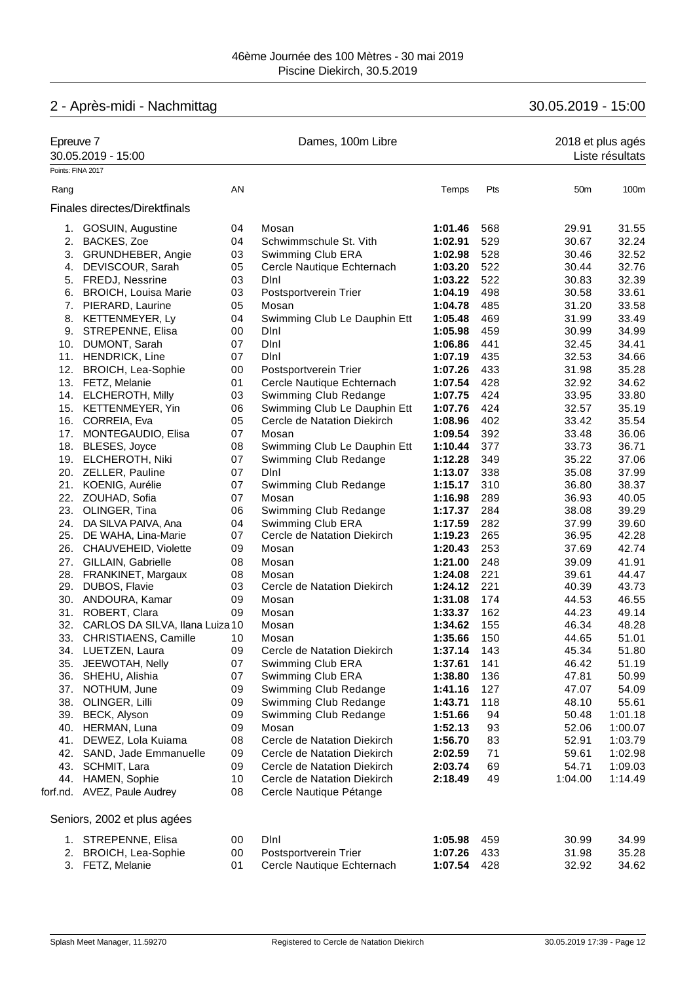# 2 - Après-midi - Nachmittag 30.05.2019 - 15:00

| Epreuve 7 | 30.05.2019 - 15:00              |    | Dames, 100m Libre            |         |     | 2018 et plus agés | Liste résultats |
|-----------|---------------------------------|----|------------------------------|---------|-----|-------------------|-----------------|
|           | Points: FINA 2017               |    |                              |         |     |                   |                 |
| Rang      |                                 | AN |                              | Temps   | Pts | 50 <sub>m</sub>   | 100m            |
|           | Finales directes/Direktfinals   |    |                              |         |     |                   |                 |
|           | 1. GOSUIN, Augustine            | 04 | Mosan                        | 1:01.46 | 568 | 29.91             | 31.55           |
| 2.        | BACKES, Zoe                     | 04 | Schwimmschule St. Vith       | 1:02.91 | 529 | 30.67             | 32.24           |
|           | 3. GRUNDHEBER, Angie            | 03 | Swimming Club ERA            | 1:02.98 | 528 | 30.46             | 32.52           |
|           | 4. DEVISCOUR, Sarah             | 05 | Cercle Nautique Echternach   | 1:03.20 | 522 | 30.44             | 32.76           |
|           | 5. FREDJ, Nessrine              | 03 | Dini                         | 1:03.22 | 522 | 30.83             | 32.39           |
|           | 6. BROICH, Louisa Marie         | 03 | Postsportverein Trier        | 1:04.19 | 498 | 30.58             | 33.61           |
|           | 7. PIERARD, Laurine             | 05 | Mosan                        | 1:04.78 | 485 | 31.20             | 33.58           |
|           | 8. KETTENMEYER, Ly              | 04 | Swimming Club Le Dauphin Ett | 1:05.48 | 469 | 31.99             | 33.49           |
|           | 9. STREPENNE, Elisa             | 00 | Dini                         | 1:05.98 | 459 | 30.99             | 34.99           |
|           | 10. DUMONT, Sarah               | 07 | Dini                         | 1:06.86 | 441 | 32.45             | 34.41           |
|           | 11. HENDRICK, Line              | 07 | Dini                         | 1:07.19 | 435 | 32.53             | 34.66           |
|           | 12. BROICH, Lea-Sophie          | 00 | Postsportverein Trier        | 1:07.26 | 433 | 31.98             | 35.28           |
|           | 13. FETZ, Melanie               | 01 | Cercle Nautique Echternach   | 1:07.54 | 428 | 32.92             | 34.62           |
|           | 14. ELCHEROTH, Milly            | 03 | Swimming Club Redange        | 1:07.75 | 424 | 33.95             | 33.80           |
|           | 15. KETTENMEYER, Yin            | 06 | Swimming Club Le Dauphin Ett | 1:07.76 | 424 | 32.57             | 35.19           |
|           | 16. CORREIA, Eva                | 05 | Cercle de Natation Diekirch  | 1:08.96 | 402 | 33.42             | 35.54           |
|           | 17. MONTEGAUDIO, Elisa          | 07 | Mosan                        | 1:09.54 | 392 | 33.48             | 36.06           |
|           | 18. BLESES, Joyce               | 08 | Swimming Club Le Dauphin Ett | 1:10.44 | 377 | 33.73             | 36.71           |
|           | 19. ELCHEROTH, Niki             | 07 | Swimming Club Redange        | 1:12.28 | 349 | 35.22             | 37.06           |
|           | 20. ZELLER, Pauline             | 07 | Dini                         | 1:13.07 | 338 | 35.08             | 37.99           |
|           | 21. KOENIG, Aurélie             | 07 | Swimming Club Redange        | 1:15.17 | 310 | 36.80             | 38.37           |
|           | 22. ZOUHAD, Sofia               | 07 | Mosan                        | 1:16.98 | 289 | 36.93             | 40.05           |
|           | 23. OLINGER, Tina               | 06 | Swimming Club Redange        | 1:17.37 | 284 | 38.08             | 39.29           |
|           | 24. DA SILVA PAIVA, Ana         | 04 | Swimming Club ERA            | 1:17.59 | 282 | 37.99             | 39.60           |
|           | 25. DE WAHA, Lina-Marie         | 07 | Cercle de Natation Diekirch  | 1:19.23 | 265 | 36.95             | 42.28           |
|           | 26. CHAUVEHEID, Violette        | 09 | Mosan                        | 1:20.43 | 253 | 37.69             | 42.74           |
| 27.       | GILLAIN, Gabrielle              | 08 | Mosan                        | 1:21.00 | 248 | 39.09             | 41.91           |
|           | 28. FRANKINET, Margaux          | 08 | Mosan                        | 1:24.08 | 221 | 39.61             | 44.47           |
|           | 29. DUBOS, Flavie               | 03 | Cercle de Natation Diekirch  | 1:24.12 | 221 | 40.39             | 43.73           |
|           | 30. ANDOURA, Kamar              | 09 | Mosan                        | 1:31.08 | 174 | 44.53             | 46.55           |
|           | 31. ROBERT, Clara               | 09 | Mosan                        | 1:33.37 | 162 | 44.23             | 49.14           |
| 32.       | CARLOS DA SILVA, Ilana Luiza 10 |    | Mosan                        | 1:34.62 | 155 | 46.34             | 48.28           |
| 33.       | CHRISTIAENS, Camille            | 10 | Mosan                        | 1:35.66 | 150 | 44.65             | 51.01           |
|           | 34. LUETZEN, Laura              | 09 | Cercle de Natation Diekirch  | 1:37.14 | 143 | 45.34             | 51.80           |
|           | 35. JEEWOTAH, Nelly             | 07 | Swimming Club ERA            | 1:37.61 | 141 | 46.42             | 51.19           |
|           | 36. SHEHU, Alishia              | 07 | Swimming Club ERA            | 1:38.80 | 136 | 47.81             | 50.99           |
| 37.       | NOTHUM, June                    | 09 | Swimming Club Redange        | 1:41.16 | 127 | 47.07             | 54.09           |
| 38.       | OLINGER, Lilli                  | 09 | Swimming Club Redange        | 1:43.71 | 118 | 48.10             | 55.61           |
|           | 39. BECK, Alyson                | 09 | Swimming Club Redange        | 1:51.66 | 94  | 50.48             | 1:01.18         |
|           | 40. HERMAN, Luna                | 09 | Mosan                        | 1:52.13 | 93  | 52.06             | 1:00.07         |
|           | 41. DEWEZ, Lola Kuiama          | 08 | Cercle de Natation Diekirch  | 1:56.70 | 83  | 52.91             | 1:03.79         |
|           | 42. SAND, Jade Emmanuelle       | 09 | Cercle de Natation Diekirch  | 2:02.59 | 71  | 59.61             | 1:02.98         |
|           | 43. SCHMIT, Lara                | 09 | Cercle de Natation Diekirch  | 2:03.74 | 69  | 54.71             | 1:09.03         |
|           | 44. HAMEN, Sophie               | 10 | Cercle de Natation Diekirch  | 2:18.49 | 49  | 1:04.00           | 1:14.49         |
|           | forf.nd. AVEZ, Paule Audrey     | 08 | Cercle Nautique Pétange      |         |     |                   |                 |
|           | Seniors, 2002 et plus agées     |    |                              |         |     |                   |                 |
|           | 1. STREPENNE, Elisa             | 00 | Dini                         | 1:05.98 | 459 | 30.99             | 34.99           |
|           | 2. BROICH, Lea-Sophie           | 00 | Postsportverein Trier        | 1:07.26 | 433 | 31.98             | 35.28           |
|           | 3. FETZ, Melanie                | 01 | Cercle Nautique Echternach   | 1:07.54 | 428 | 32.92             | 34.62           |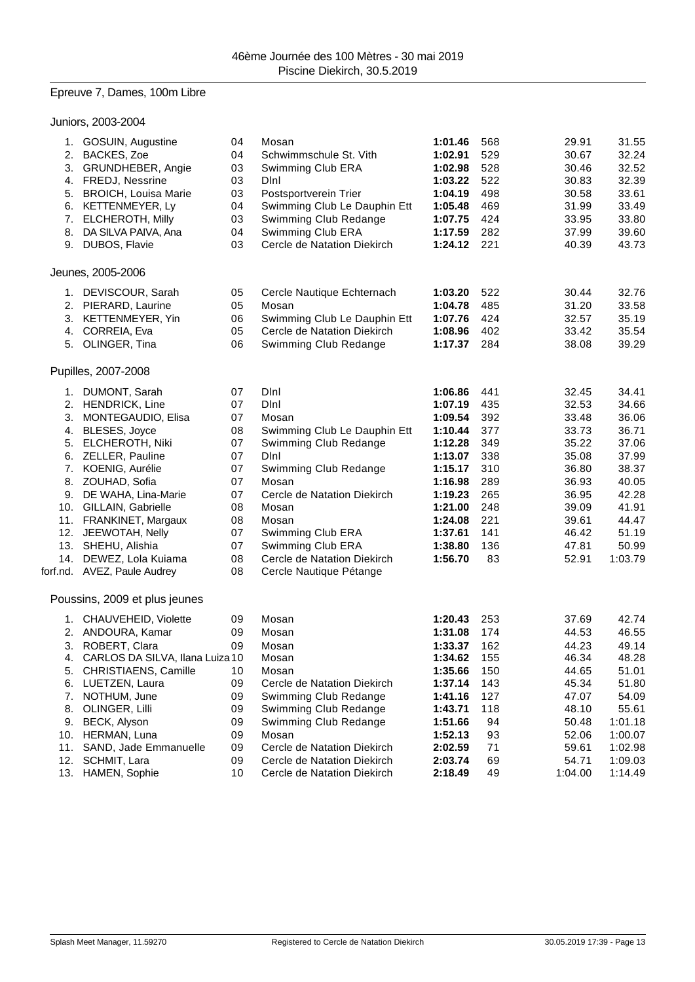## Epreuve 7, Dames, 100m Libre

|                                  | Juniors, 2003-2004                                                                                                                                                                                                                                                                                                                                           |                                                                                        |                                                                                                                                                                                                                                                                               |                                                                                                                                                        |                                                                                               |                                                                                                                            |                                                                                                                              |
|----------------------------------|--------------------------------------------------------------------------------------------------------------------------------------------------------------------------------------------------------------------------------------------------------------------------------------------------------------------------------------------------------------|----------------------------------------------------------------------------------------|-------------------------------------------------------------------------------------------------------------------------------------------------------------------------------------------------------------------------------------------------------------------------------|--------------------------------------------------------------------------------------------------------------------------------------------------------|-----------------------------------------------------------------------------------------------|----------------------------------------------------------------------------------------------------------------------------|------------------------------------------------------------------------------------------------------------------------------|
|                                  | 1. GOSUIN, Augustine<br>2. BACKES, Zoe<br>3. GRUNDHEBER, Angie<br>4. FREDJ, Nessrine<br>5. BROICH, Louisa Marie<br>6. KETTENMEYER, Ly<br>7. ELCHEROTH, Milly<br>8. DA SILVA PAIVA, Ana<br>9. DUBOS, Flavie                                                                                                                                                   | 04<br>04<br>03<br>03<br>03<br>04<br>03<br>04<br>03                                     | Mosan<br>Schwimmschule St. Vith<br>Swimming Club ERA<br>Dini<br>Postsportverein Trier<br>Swimming Club Le Dauphin Ett<br>Swimming Club Redange<br>Swimming Club ERA<br>Cercle de Natation Diekirch                                                                            | 1:01.46<br>1:02.91<br>1:02.98<br>1:03.22<br>1:04.19<br>1:05.48<br>1:07.75<br>1:17.59<br>1:24.12                                                        | 568<br>529<br>528<br>522<br>498<br>469<br>424<br>282<br>221                                   | 29.91<br>30.67<br>30.46<br>30.83<br>30.58<br>31.99<br>33.95<br>37.99<br>40.39                                              | 31.55<br>32.24<br>32.52<br>32.39<br>33.61<br>33.49<br>33.80<br>39.60<br>43.73                                                |
|                                  | Jeunes, 2005-2006                                                                                                                                                                                                                                                                                                                                            |                                                                                        |                                                                                                                                                                                                                                                                               |                                                                                                                                                        |                                                                                               |                                                                                                                            |                                                                                                                              |
|                                  | 1. DEVISCOUR, Sarah<br>2. PIERARD, Laurine<br>3. KETTENMEYER, Yin<br>4. CORREIA, Eva<br>5. OLINGER, Tina                                                                                                                                                                                                                                                     | 05<br>05<br>06<br>05<br>06                                                             | Cercle Nautique Echternach<br>Mosan<br>Swimming Club Le Dauphin Ett<br>Cercle de Natation Diekirch<br>Swimming Club Redange                                                                                                                                                   | 1:03.20<br>1:04.78<br>1:07.76<br>1:08.96<br>1:17.37                                                                                                    | 522<br>485<br>424<br>402<br>284                                                               | 30.44<br>31.20<br>32.57<br>33.42<br>38.08                                                                                  | 32.76<br>33.58<br>35.19<br>35.54<br>39.29                                                                                    |
|                                  | Pupilles, 2007-2008                                                                                                                                                                                                                                                                                                                                          |                                                                                        |                                                                                                                                                                                                                                                                               |                                                                                                                                                        |                                                                                               |                                                                                                                            |                                                                                                                              |
|                                  | 1. DUMONT, Sarah<br>2. HENDRICK, Line<br>3. MONTEGAUDIO, Elisa<br>4. BLESES, Joyce<br>5. ELCHEROTH, Niki<br>6. ZELLER, Pauline<br>7. KOENIG, Aurélie<br>8. ZOUHAD, Sofia<br>9. DE WAHA, Lina-Marie<br>10. GILLAIN, Gabrielle<br>11. FRANKINET, Margaux<br>12. JEEWOTAH, Nelly<br>13. SHEHU, Alishia<br>14. DEWEZ, Lola Kuiama<br>forf.nd. AVEZ, Paule Audrey | 07<br>07<br>07<br>08<br>07<br>07<br>07<br>07<br>07<br>08<br>08<br>07<br>07<br>08<br>08 | Dini<br>Dini<br>Mosan<br>Swimming Club Le Dauphin Ett<br>Swimming Club Redange<br>DInl<br>Swimming Club Redange<br>Mosan<br>Cercle de Natation Diekirch<br>Mosan<br>Mosan<br>Swimming Club ERA<br>Swimming Club ERA<br>Cercle de Natation Diekirch<br>Cercle Nautique Pétange | 1:06.86<br>1:07.19<br>1:09.54<br>1:10.44<br>1:12.28<br>1:13.07<br>1:15.17<br>1:16.98<br>1:19.23<br>1:21.00<br>1:24.08<br>1:37.61<br>1:38.80<br>1:56.70 | 441<br>435<br>392<br>377<br>349<br>338<br>310<br>289<br>265<br>248<br>221<br>141<br>136<br>83 | 32.45<br>32.53<br>33.48<br>33.73<br>35.22<br>35.08<br>36.80<br>36.93<br>36.95<br>39.09<br>39.61<br>46.42<br>47.81<br>52.91 | 34.41<br>34.66<br>36.06<br>36.71<br>37.06<br>37.99<br>38.37<br>40.05<br>42.28<br>41.91<br>44.47<br>51.19<br>50.99<br>1:03.79 |
|                                  | Poussins, 2009 et plus jeunes                                                                                                                                                                                                                                                                                                                                |                                                                                        |                                                                                                                                                                                                                                                                               |                                                                                                                                                        |                                                                                               |                                                                                                                            |                                                                                                                              |
| 3.<br>4.<br>5.<br>7.<br>8.<br>9. | 1. CHAUVEHEID, Violette<br>2. ANDOURA, Kamar<br>ROBERT, Clara<br>CARLOS DA SILVA, Ilana Luiza 10<br>CHRISTIAENS, Camille<br>6. LUETZEN, Laura<br>NOTHUM, June<br>OLINGER, Lilli<br>BECK, Alyson<br>10. HERMAN, Luna                                                                                                                                          | 09<br>09<br>09<br>10<br>09<br>09<br>09<br>09<br>09                                     | Mosan<br>Mosan<br>Mosan<br>Mosan<br>Mosan<br>Cercle de Natation Diekirch<br>Swimming Club Redange<br>Swimming Club Redange<br>Swimming Club Redange<br>Mosan                                                                                                                  | 1:20.43<br>1:31.08<br>1:33.37<br>1:34.62<br>1:35.66<br>1:37.14<br>1:41.16<br>1:43.71<br>1:51.66<br>1:52.13                                             | 253<br>174<br>162<br>155<br>150<br>143<br>127<br>118<br>94<br>93                              | 37.69<br>44.53<br>44.23<br>46.34<br>44.65<br>45.34<br>47.07<br>48.10<br>50.48<br>52.06                                     | 42.74<br>46.55<br>49.14<br>48.28<br>51.01<br>51.80<br>54.09<br>55.61<br>1:01.18<br>1:00.07                                   |
| 11.<br>12.<br>13.                | SAND, Jade Emmanuelle<br>SCHMIT, Lara<br>HAMEN, Sophie                                                                                                                                                                                                                                                                                                       | 09<br>09<br>10                                                                         | Cercle de Natation Diekirch<br>Cercle de Natation Diekirch<br>Cercle de Natation Diekirch                                                                                                                                                                                     | 2:02.59<br>2:03.74<br>2:18.49                                                                                                                          | 71<br>69<br>49                                                                                | 59.61<br>54.71<br>1:04.00                                                                                                  | 1:02.98<br>1:09.03<br>1:14.49                                                                                                |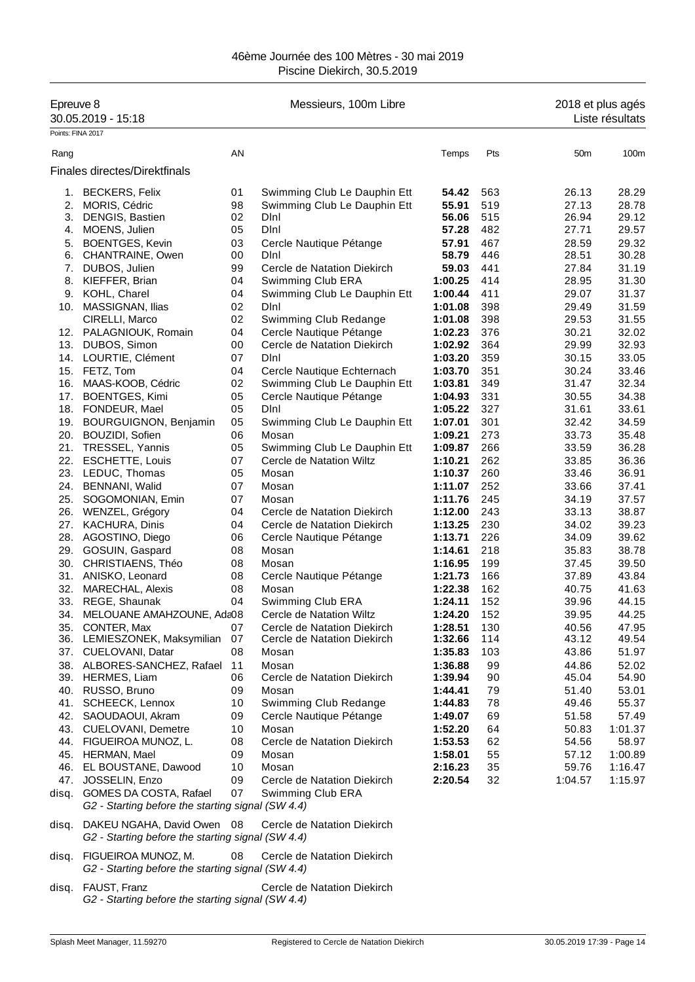## 46ème Journée des 100 Mètres - 30 mai 2019 Piscine Diekirch, 30.5.2019

| Epreuve 8                 | 30.05.2019 - 15:18                                                              |          | Messieurs, 100m Libre                                      |                    |            | 2018 et plus agés | Liste résultats |
|---------------------------|---------------------------------------------------------------------------------|----------|------------------------------------------------------------|--------------------|------------|-------------------|-----------------|
| Points: FINA 2017<br>Rang |                                                                                 | AN       |                                                            | Temps              | Pts        | 50 <sub>m</sub>   | 100m            |
|                           | Finales directes/Direktfinals                                                   |          |                                                            |                    |            |                   |                 |
|                           |                                                                                 |          |                                                            |                    |            |                   |                 |
| 1.                        | <b>BECKERS, Felix</b>                                                           | 01       | Swimming Club Le Dauphin Ett                               | 54.42              | 563        | 26.13             | 28.29           |
| 2.                        | MORIS, Cédric                                                                   | 98       | Swimming Club Le Dauphin Ett                               | 55.91              | 519        | 27.13             | 28.78           |
| 3.                        | DENGIS, Bastien                                                                 | 02       | Dini                                                       | 56.06              | 515        | 26.94             | 29.12           |
| 4.                        | MOENS, Julien                                                                   | 05       | Dini                                                       | 57.28              | 482        | 27.71             | 29.57           |
| 5.                        | <b>BOENTGES, Kevin</b>                                                          | 03       | Cercle Nautique Pétange                                    | 57.91              | 467        | 28.59             | 29.32<br>30.28  |
| 6.                        | CHANTRAINE, Owen                                                                | 00       | Dini                                                       | 58.79              | 446        | 28.51             |                 |
| 7.<br>8.                  | DUBOS, Julien                                                                   | 99<br>04 | Cercle de Natation Diekirch                                | 59.03<br>1:00.25   | 441<br>414 | 27.84<br>28.95    | 31.19           |
|                           | KIEFFER, Brian                                                                  |          | Swimming Club ERA                                          |                    | 411        |                   | 31.30           |
| 9.                        | KOHL, Charel                                                                    | 04       | Swimming Club Le Dauphin Ett                               | 1:00.44            |            | 29.07             | 31.37           |
| 10.                       | MASSIGNAN, Ilias                                                                | 02       | Dini                                                       | 1:01.08            | 398        | 29.49             | 31.59           |
|                           | CIRELLI, Marco                                                                  | 02       | Swimming Club Redange                                      | 1:01.08            | 398        | 29.53             | 31.55<br>32.02  |
|                           | 12. PALAGNIOUK, Romain                                                          | 04       | Cercle Nautique Pétange                                    | 1:02.23            | 376        | 30.21             |                 |
| 13.                       | DUBOS, Simon                                                                    | 00       | Cercle de Natation Diekirch                                | 1:02.92            | 364        | 29.99             | 32.93           |
|                           | 14. LOURTIE, Clément                                                            | 07       | Dini                                                       | 1:03.20            | 359        | 30.15             | 33.05           |
|                           | 15. FETZ, Tom                                                                   | 04       | Cercle Nautique Echternach                                 | 1:03.70            | 351        | 30.24             | 33.46           |
|                           | 16. MAAS-KOOB, Cédric                                                           | 02       | Swimming Club Le Dauphin Ett                               | 1:03.81            | 349        | 31.47             | 32.34           |
| 17.                       | <b>BOENTGES, Kimi</b>                                                           | 05       | Cercle Nautique Pétange                                    | 1:04.93            | 331        | 30.55             | 34.38           |
|                           | 18. FONDEUR, Mael                                                               | 05       | Dini                                                       | 1:05.22            | 327        | 31.61             | 33.61           |
| 19.<br>20.                | <b>BOURGUIGNON, Benjamin</b>                                                    | 05<br>06 | Swimming Club Le Dauphin Ett                               | 1:07.01<br>1:09.21 | 301<br>273 | 32.42<br>33.73    | 34.59           |
|                           | BOUZIDI, Sofien                                                                 |          | Mosan                                                      |                    |            |                   | 35.48           |
|                           | 21. TRESSEL, Yannis                                                             | 05       | Swimming Club Le Dauphin Ett                               | 1:09.87            | 266        | 33.59             | 36.28           |
|                           | 22. ESCHETTE, Louis                                                             | 07       | Cercle de Natation Wiltz                                   | 1:10.21            | 262        | 33.85             | 36.36           |
|                           | 23. LEDUC, Thomas                                                               | 05       | Mosan                                                      | 1:10.37            | 260        | 33.46             | 36.91           |
| 24.                       | <b>BENNANI, Walid</b>                                                           | 07       | Mosan                                                      | 1:11.07            | 252        | 33.66             | 37.41           |
| 25.                       | SOGOMONIAN, Emin                                                                | 07       | Mosan                                                      | 1:11.76            | 245        | 34.19             | 37.57           |
|                           | 26. WENZEL, Grégory                                                             | 04       | Cercle de Natation Diekirch                                | 1:12.00            | 243        | 33.13             | 38.87           |
| 27.                       | <b>KACHURA, Dinis</b>                                                           | 04       | Cercle de Natation Diekirch                                | 1:13.25            | 230        | 34.02             | 39.23           |
|                           | 28. AGOSTINO, Diego                                                             | 06       | Cercle Nautique Pétange                                    | 1:13.71            | 226        | 34.09             | 39.62           |
|                           | 29. GOSUIN, Gaspard                                                             | 08       | Mosan                                                      | 1:14.61            | 218        | 35.83             | 38.78           |
|                           | 30. CHRISTIAENS, Théo                                                           | 08       | Mosan                                                      | 1:16.95            | 199        | 37.45             | 39.50           |
|                           | 31. ANISKO, Leonard                                                             | 08       | Cercle Nautique Pétange                                    | 1:21.73            | 166        | 37.89             | 43.84           |
| 32.                       | <b>MARECHAL, Alexis</b>                                                         | 08       | Mosan                                                      | 1:22.38            | 162        | 40.75             | 41.63           |
| 34.                       | 33. REGE, Shaunak                                                               | 04       | Swimming Club ERA                                          | 1:24.11            | 152<br>152 | 39.96             | 44.15           |
|                           | MELOUANE AMAHZOUNE, Ada08                                                       |          | Cercle de Natation Wiltz                                   | 1:24.20            |            | 39.95             | 44.25           |
|                           | 35. CONTER, Max<br>36. LEMIESZONEK, Maksymilian                                 | 07<br>07 | Cercle de Natation Diekirch<br>Cercle de Natation Diekirch | 1:28.51<br>1:32.66 | 130<br>114 | 40.56<br>43.12    | 47.95<br>49.54  |
|                           | 37. CUELOVANI, Datar                                                            | 08       | Mosan                                                      | 1:35.83            | 103        | 43.86             | 51.97           |
|                           |                                                                                 |          |                                                            |                    |            |                   |                 |
|                           | 38. ALBORES-SANCHEZ, Rafael<br>39. HERMES, Liam                                 | 11<br>06 | Mosan<br>Cercle de Natation Diekirch                       | 1:36.88<br>1:39.94 | 99<br>90   | 44.86<br>45.04    | 52.02<br>54.90  |
|                           | 40. RUSSO, Bruno                                                                | 09       | Mosan                                                      | 1:44.41            | 79         | 51.40             | 53.01           |
|                           | 41. SCHEECK, Lennox                                                             | 10       | Swimming Club Redange                                      | 1:44.83            | 78         | 49.46             | 55.37           |
|                           | 42. SAOUDAOUI, Akram                                                            | 09       | Cercle Nautique Pétange                                    | 1:49.07            | 69         | 51.58             | 57.49           |
|                           | 43. CUELOVANI, Demetre                                                          | 10       | Mosan                                                      | 1:52.20            | 64         | 50.83             | 1:01.37         |
|                           | 44. FIGUEIROA MUNOZ, L.                                                         | 08       | Cercle de Natation Diekirch                                | 1:53.53            | 62         | 54.56             | 58.97           |
|                           | 45. HERMAN, Mael                                                                | 09       | Mosan                                                      | 1:58.01            | 55         | 57.12             | 1:00.89         |
|                           | 46. EL BOUSTANE, Dawood                                                         | 10       | Mosan                                                      | 2:16.23            | 35         | 59.76             | 1:16.47         |
|                           | 47. JOSSELIN, Enzo                                                              | 09       | Cercle de Natation Diekirch                                | 2:20.54            | 32         | 1:04.57           | 1:15.97         |
|                           | GOMES DA COSTA, Rafael                                                          | 07       | Swimming Club ERA                                          |                    |            |                   |                 |
| disq.                     | G2 - Starting before the starting signal (SW 4.4)                               |          |                                                            |                    |            |                   |                 |
|                           |                                                                                 |          |                                                            |                    |            |                   |                 |
| disq.                     | DAKEU NGAHA, David Owen 08<br>G2 - Starting before the starting signal (SW 4.4) |          | Cercle de Natation Diekirch                                |                    |            |                   |                 |
| disq.                     | FIGUEIROA MUNOZ, M.                                                             | 08       | Cercle de Natation Diekirch                                |                    |            |                   |                 |

*G2 - Starting before the starting signal (SW 4.4)*

disq. FAUST, Franz Cercle de Natation Diekirch *G2 - Starting before the starting signal (SW 4.4)*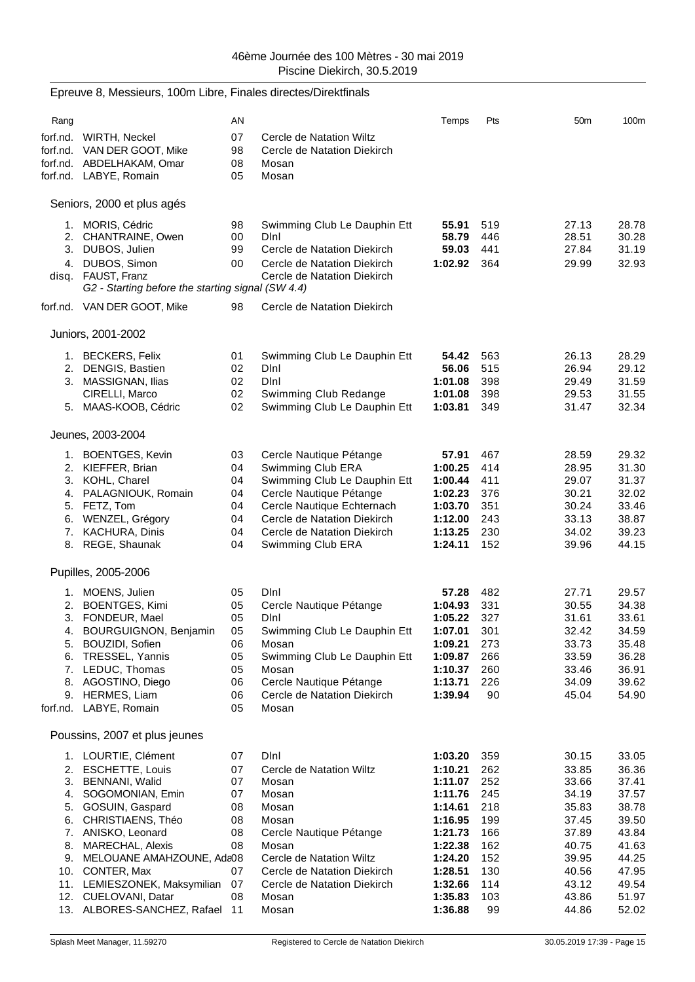|      | Epreuve 8, Messieurs, 100m Libre, Finales directes/Direktfinals                    |                |                                                                  |                    |            |                 |                |
|------|------------------------------------------------------------------------------------|----------------|------------------------------------------------------------------|--------------------|------------|-----------------|----------------|
| Rang |                                                                                    | AN             |                                                                  | Temps              | Pts        | 50 <sub>m</sub> | 100m           |
|      | forf.nd. WIRTH, Neckel<br>forf.nd. VAN DER GOOT, Mike<br>forf.nd. ABDELHAKAM, Omar | 07<br>98<br>08 | Cercle de Natation Wiltz<br>Cercle de Natation Diekirch<br>Mosan |                    |            |                 |                |
|      | forf.nd. LABYE, Romain                                                             | 05             | Mosan                                                            |                    |            |                 |                |
|      | Seniors, 2000 et plus agés                                                         |                |                                                                  |                    |            |                 |                |
|      | 1. MORIS, Cédric<br>2. CHANTRAINE, Owen                                            | 98<br>00       | Swimming Club Le Dauphin Ett<br>Dini                             | 55.91<br>58.79     | 519<br>446 | 27.13<br>28.51  | 28.78<br>30.28 |
|      | 3. DUBOS, Julien                                                                   | 99             | Cercle de Natation Diekirch                                      | 59.03              | 441        | 27.84           | 31.19          |
|      | 4. DUBOS, Simon                                                                    | 00             | Cercle de Natation Diekirch                                      | 1:02.92            | 364        | 29.99           | 32.93          |
|      | disq. FAUST, Franz<br>G2 - Starting before the starting signal (SW 4.4)            |                | Cercle de Natation Diekirch                                      |                    |            |                 |                |
|      | forf.nd. VAN DER GOOT, Mike                                                        | 98             | Cercle de Natation Diekirch                                      |                    |            |                 |                |
|      | Juniors, 2001-2002                                                                 |                |                                                                  |                    |            |                 |                |
|      | 1. BECKERS, Felix                                                                  | 01             | Swimming Club Le Dauphin Ett                                     | 54.42              | 563        | 26.13           | 28.29          |
|      | 2. DENGIS, Bastien                                                                 | 02             | DInl                                                             | 56.06              | 515        | 26.94           | 29.12          |
|      | 3. MASSIGNAN, Ilias                                                                | 02             | DInl                                                             | 1:01.08            | 398        | 29.49           | 31.59          |
|      | CIRELLI, Marco                                                                     | 02             | Swimming Club Redange                                            | 1:01.08            | 398        | 29.53           | 31.55          |
|      | 5. MAAS-KOOB, Cédric                                                               | 02             | Swimming Club Le Dauphin Ett                                     | 1:03.81            | 349        | 31.47           | 32.34          |
|      | Jeunes, 2003-2004                                                                  |                |                                                                  |                    |            |                 |                |
|      | 1. BOENTGES, Kevin                                                                 | 03             | Cercle Nautique Pétange                                          | 57.91              | 467        | 28.59           | 29.32          |
|      | 2. KIEFFER, Brian                                                                  | 04             | Swimming Club ERA                                                | 1:00.25            | 414        | 28.95           | 31.30          |
|      | 3. KOHL, Charel<br>4. PALAGNIOUK, Romain                                           | 04<br>04       | Swimming Club Le Dauphin Ett<br>Cercle Nautique Pétange          | 1:00.44<br>1:02.23 | 411<br>376 | 29.07<br>30.21  | 31.37<br>32.02 |
|      | 5. FETZ, Tom                                                                       | 04             | Cercle Nautique Echternach                                       | 1:03.70            | 351        | 30.24           | 33.46          |
|      | 6. WENZEL, Grégory                                                                 | 04             | Cercle de Natation Diekirch                                      | 1:12.00            | 243        | 33.13           | 38.87          |
|      | 7. KACHURA, Dinis                                                                  | 04             | Cercle de Natation Diekirch                                      | 1:13.25            | 230        | 34.02           | 39.23          |
|      | 8. REGE, Shaunak                                                                   | 04             | Swimming Club ERA                                                | 1:24.11            | 152        | 39.96           | 44.15          |
|      | Pupilles, 2005-2006                                                                |                |                                                                  |                    |            |                 |                |
|      | 1. MOENS, Julien                                                                   | 05             | Dini                                                             | 57.28              | 482        | 27.71           | 29.57          |
|      | 2. BOENTGES, Kimi                                                                  | 05             | Cercle Nautique Pétange                                          | 1:04.93            | 331        | 30.55           | 34.38          |
|      | 3. FONDEUR, Mael                                                                   | 05             | Dini                                                             | 1:05.22            | 327        | 31.61           | 33.61          |
|      | 4. BOURGUIGNON, Benjamin                                                           | 05             | Swimming Club Le Dauphin Ett                                     | 1:07.01            | 301        | 32.42           | 34.59          |
|      | 5. BOUZIDI, Sofien<br>6. TRESSEL, Yannis                                           | 06<br>05       | Mosan<br>Swimming Club Le Dauphin Ett                            | 1:09.21<br>1:09.87 | 273<br>266 | 33.73<br>33.59  | 35.48<br>36.28 |
|      | 7. LEDUC, Thomas                                                                   | 05             | Mosan                                                            | 1:10.37            | 260        | 33.46           | 36.91          |
|      | 8. AGOSTINO, Diego                                                                 | 06             | Cercle Nautique Pétange                                          | 1:13.71            | 226        | 34.09           | 39.62          |
|      | 9. HERMES, Liam                                                                    | 06             | Cercle de Natation Diekirch                                      | 1:39.94            | 90         | 45.04           | 54.90          |
|      | forf.nd. LABYE, Romain                                                             | 05             | Mosan                                                            |                    |            |                 |                |
|      | Poussins, 2007 et plus jeunes                                                      |                |                                                                  |                    |            |                 |                |
|      | 1. LOURTIE, Clément                                                                | 07             | Dini                                                             | 1:03.20            | 359        | 30.15           | 33.05          |
|      | 2. ESCHETTE, Louis                                                                 | 07             | Cercle de Natation Wiltz                                         | 1:10.21            | 262        | 33.85           | 36.36          |
|      | 3. BENNANI, Walid                                                                  | 07             | Mosan                                                            | 1:11.07            | 252        | 33.66           | 37.41          |
|      | 4. SOGOMONIAN, Emin<br>5. GOSUIN, Gaspard                                          | 07<br>08       | Mosan<br>Mosan                                                   | 1:11.76            | 245<br>218 | 34.19           | 37.57<br>38.78 |
|      | 6. CHRISTIAENS, Théo                                                               | 08             | Mosan                                                            | 1:14.61<br>1:16.95 | 199        | 35.83<br>37.45  | 39.50          |
|      | 7. ANISKO, Leonard                                                                 | 08             | Cercle Nautique Pétange                                          | 1:21.73            | 166        | 37.89           | 43.84          |
|      | 8. MARECHAL, Alexis                                                                | 08             | Mosan                                                            | 1:22.38            | 162        | 40.75           | 41.63          |
|      | 9. MELOUANE AMAHZOUNE, Ada08                                                       |                | Cercle de Natation Wiltz                                         | 1:24.20            | 152        | 39.95           | 44.25          |
|      | 10. CONTER, Max                                                                    | 07             | Cercle de Natation Diekirch                                      | 1:28.51            | 130        | 40.56           | 47.95          |
|      | 11. LEMIESZONEK, Maksymilian                                                       | 07             | Cercle de Natation Diekirch                                      | 1:32.66            | 114        | 43.12           | 49.54          |
|      | 12. CUELOVANI, Datar                                                               | 08             | Mosan                                                            | 1:35.83            | 103        | 43.86           | 51.97          |
|      | 13. ALBORES-SANCHEZ, Rafael 11                                                     |                | Mosan                                                            | 1:36.88            | 99         | 44.86           | 52.02          |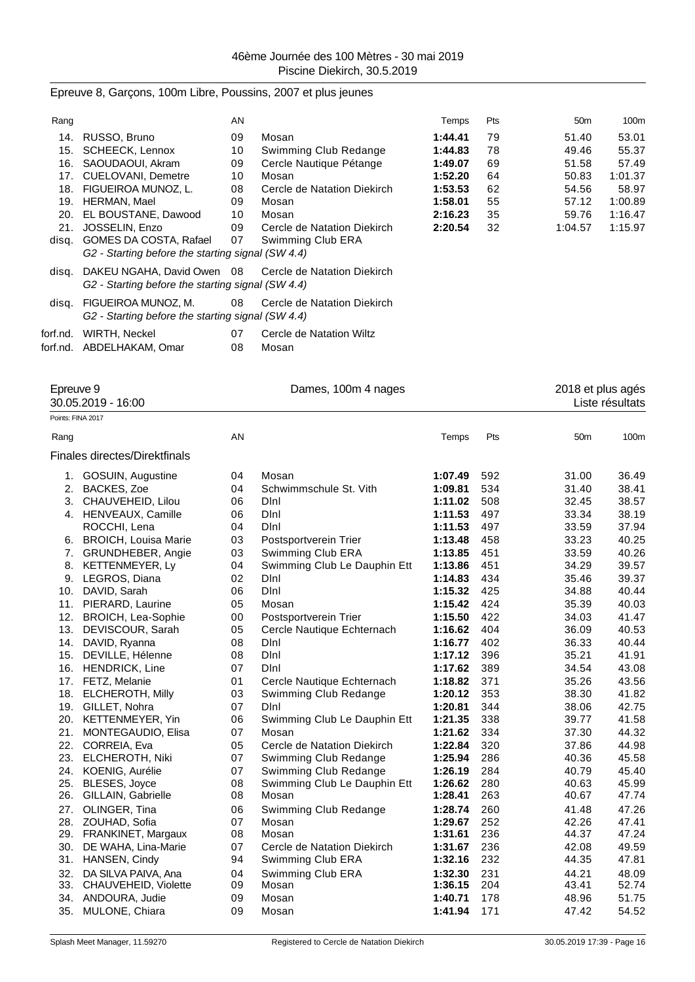### Epreuve 8, Garçons, 100m Libre, Poussins, 2007 et plus jeunes

| Rang     |                                                   | AN |                             | Temps   | <b>Pts</b> | 50 <sub>m</sub> | 100m    |
|----------|---------------------------------------------------|----|-----------------------------|---------|------------|-----------------|---------|
| 14.      | RUSSO, Bruno                                      | 09 | Mosan                       | 1:44.41 | 79         | 51.40           | 53.01   |
| 15.      | SCHEECK, Lennox                                   | 10 | Swimming Club Redange       | 1:44.83 | 78         | 49.46           | 55.37   |
| 16.      | SAOUDAOUI, Akram                                  | 09 | Cercle Nautique Pétange     | 1:49.07 | 69         | 51.58           | 57.49   |
| 17.      | CUELOVANI, Demetre                                | 10 | Mosan                       | 1:52.20 | 64         | 50.83           | 1:01.37 |
| 18.      | FIGUEIROA MUNOZ. L.                               | 08 | Cercle de Natation Diekirch | 1:53.53 | 62         | 54.56           | 58.97   |
| 19.      | <b>HERMAN, Mael</b>                               | 09 | Mosan                       | 1:58.01 | 55         | 57.12           | 1:00.89 |
| 20.      | EL BOUSTANE, Dawood                               | 10 | Mosan                       | 2:16.23 | 35         | 59.76           | 1:16.47 |
| 21.      | JOSSELIN, Enzo                                    | 09 | Cercle de Natation Diekirch | 2:20.54 | 32         | 1:04.57         | 1:15.97 |
| disg.    | GOMES DA COSTA, Rafael                            | 07 | Swimming Club ERA           |         |            |                 |         |
|          | G2 - Starting before the starting signal (SW 4.4) |    |                             |         |            |                 |         |
| disg.    | DAKEU NGAHA, David Owen 08                        |    | Cercle de Natation Diekirch |         |            |                 |         |
|          | G2 - Starting before the starting signal (SW 4.4) |    |                             |         |            |                 |         |
| disq.    | FIGUEIROA MUNOZ, M.                               | 08 | Cercle de Natation Diekirch |         |            |                 |         |
|          | G2 - Starting before the starting signal (SW 4.4) |    |                             |         |            |                 |         |
| forf.nd. | WIRTH, Neckel                                     | 07 | Cercle de Natation Wiltz    |         |            |                 |         |
| forf.nd. | ABDELHAKAM, Omar                                  | 08 | Mosan                       |         |            |                 |         |
|          |                                                   |    |                             |         |            |                 |         |

Epreuve 9 Dames, 100m 4 nages 2018 et plus agés 30.05.2019 - 16:00 Liste résultats Points: FINA 2017 Rang AN Temps Pts 50m 100m Finales directes/Direktfinals 1. GOSUIN, Augustine 04 Mosan **1:07.49** 592 31.00 36.49 2. BACKES, Zoe 04 Schwimmschule St. Vith **1:09.81** 534 31.40 38.41 3. CHAUVEHEID, Lilou 06 Dlnl **1:11.02** 508 32.45 38.57 4. HENVEAUX, Camille 06 Dlnl **1:11.53** 497 33.34 38.19 ROCCHI, Lena 04 Dlnl **1:11.53** 497 33.59 37.94 6. BROICH, Louisa Marie 03 Postsportverein Trier **1:13.48** 458 33.23 40.25 7. GRUNDHEBER, Angie 03 Swimming Club ERA **1:13.85** 451 33.59 40.26 8. KETTENMEYER, Ly 04 Swimming Club Le Dauphin Ett **1:13.86** 451 34.29 39.57 9. LEGROS, Diana 02 Dlnl **1:14.83** 434 35.46 39.37 10. DAVID, Sarah 06 Dlnl **1:15.32** 425 34.88 40.44 11. PIERARD, Laurine 05 Mosan **1:15.42** 424 35.39 40.03 12. BROICH, Lea-Sophie 00 Postsportverein Trier **1:15.50** 422 34.03 41.47 13. DEVISCOUR, Sarah 05 Cercle Nautique Echternach **1:16.62** 404 36.09 40.53 14. DAVID, Ryanna 08 Dlnl **1:16.77** 402 36.33 40.44 15. DEVILLE, Hélenne 08 Dlnl **1:17.12** 396 35.21 41.91 16. HENDRICK, Line 07 Dlnl **1:17.62** 389 34.54 43.08 17. FETZ, Melanie 01 Cercle Nautique Echternach **1:18.82** 371 35.26 43.56 18. ELCHEROTH, Milly 03 Swimming Club Redange **1:20.12** 353 38.30 41.82 19. GILLET, Nohra 07 Dlnl **1:20.81** 344 38.06 42.75 20. KETTENMEYER, Yin 06 Swimming Club Le Dauphin Ett **1:21.35** 338 39.77 41.58 21. MONTEGAUDIO, Elisa 07 Mosan **1:21.62** 334 37.30 44.32 22. CORREIA, Eva 05 Cercle de Natation Diekirch **1:22.84** 320 37.86 44.98 23. ELCHEROTH, Niki 07 Swimming Club Redange **1:25.94** 286 40.36 45.58 24. KOENIG, Aurélie 07 Swimming Club Redange **1:26.19** 284 40.79 45.40 25. BLESES, Joyce 08 Swimming Club Le Dauphin Ett **1:26.62** 280 40.63 45.99 26. GILLAIN, Gabrielle 08 Mosan **1:28.41** 263 40.67 47.74 27. OLINGER, Tina 06 Swimming Club Redange **1:28.74** 260 41.48 47.26 28. ZOUHAD, Sofia 07 Mosan **1:29.67** 252 42.26 47.41 29. FRANKINET, Margaux 08 Mosan **1:31.61** 236 44.37 47.24 30. DE WAHA, Lina-Marie 07 Cercle de Natation Diekirch **1:31.67** 236 42.08 49.59 31. HANSEN, Cindy 94 Swimming Club ERA **1:32.16** 232 44.35 47.81 32. DA SILVA PAIVA, Ana 04 Swimming Club ERA **1:32.30** 231 44.21 48.09 33. CHAUVEHEID, Violette 09 Mosan **1:36.15** 204 43.41 52.74 34. ANDOURA, Judie 09 Mosan **1:40.71** 178 48.96 51.75 35. MULONE, Chiara 09 Mosan **1:41.94** 171 47.42 54.52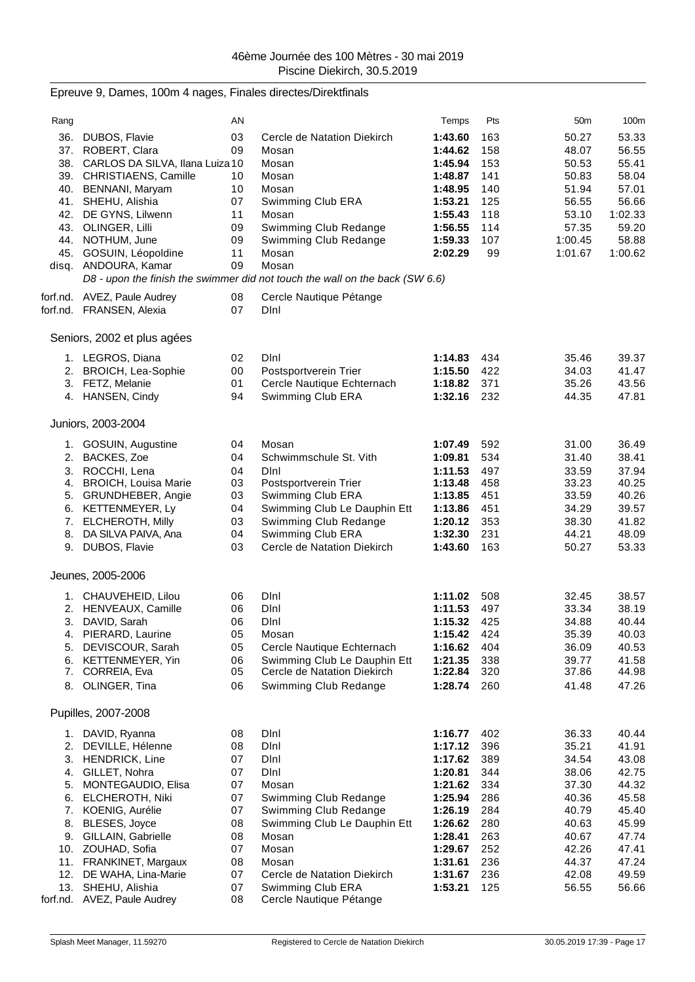# Epreuve 9, Dames, 100m 4 nages, Finales directes/Direktfinals

| Rang     |                                            | AN       |                                                                              | Temps              | Pts        | 50 <sub>m</sub> | 100m             |
|----------|--------------------------------------------|----------|------------------------------------------------------------------------------|--------------------|------------|-----------------|------------------|
| 36.      | DUBOS, Flavie                              | 03       | Cercle de Natation Diekirch                                                  | 1:43.60            | 163        | 50.27           | 53.33            |
|          | 37. ROBERT, Clara                          | 09       | Mosan                                                                        | 1:44.62            | 158        | 48.07           | 56.55            |
|          | 38. CARLOS DA SILVA, Ilana Luiza 10        |          | Mosan                                                                        | 1:45.94            | 153        | 50.53           | 55.41            |
|          | 39. CHRISTIAENS, Camille                   | 10       | Mosan                                                                        | 1:48.87            | 141        | 50.83           | 58.04            |
|          | 40. BENNANI, Maryam                        | 10       | Mosan                                                                        | 1:48.95            | 140        | 51.94           | 57.01            |
|          | 41. SHEHU, Alishia                         | 07<br>11 | Swimming Club ERA<br>Mosan                                                   | 1:53.21<br>1:55.43 | 125<br>118 | 56.55<br>53.10  | 56.66<br>1:02.33 |
|          | 42. DE GYNS, Lilwenn<br>43. OLINGER, Lilli | 09       | Swimming Club Redange                                                        | 1:56.55            | 114        | 57.35           | 59.20            |
|          | 44. NOTHUM, June                           | 09       | Swimming Club Redange                                                        | 1:59.33            | 107        | 1:00.45         | 58.88            |
|          | 45. GOSUIN, Léopoldine                     | 11       | Mosan                                                                        | 2:02.29            | 99         | 1:01.67         | 1:00.62          |
|          | disq. ANDOURA, Kamar                       | 09       | Mosan                                                                        |                    |            |                 |                  |
|          |                                            |          | D8 - upon the finish the swimmer did not touch the wall on the back (SW 6.6) |                    |            |                 |                  |
|          | forf.nd. AVEZ, Paule Audrey                | 08       | Cercle Nautique Pétange                                                      |                    |            |                 |                  |
|          | forf.nd. FRANSEN, Alexia                   | 07       | Dini                                                                         |                    |            |                 |                  |
|          | Seniors, 2002 et plus agées                |          |                                                                              |                    |            |                 |                  |
|          |                                            |          |                                                                              |                    |            |                 |                  |
|          | 1. LEGROS, Diana                           | 02       | Dini                                                                         | 1:14.83            | 434        | 35.46           | 39.37            |
|          | 2. BROICH, Lea-Sophie<br>3. FETZ, Melanie  | 00<br>01 | Postsportverein Trier<br>Cercle Nautique Echternach                          | 1:15.50<br>1:18.82 | 422<br>371 | 34.03<br>35.26  | 41.47<br>43.56   |
|          | 4. HANSEN, Cindy                           | 94       | Swimming Club ERA                                                            | 1:32.16            | 232        | 44.35           | 47.81            |
|          |                                            |          |                                                                              |                    |            |                 |                  |
|          | Juniors, 2003-2004                         |          |                                                                              |                    |            |                 |                  |
|          | 1. GOSUIN, Augustine                       | 04       | Mosan                                                                        | 1:07.49            | 592        | 31.00           | 36.49            |
|          | 2. BACKES, Zoe                             | 04       | Schwimmschule St. Vith                                                       | 1:09.81            | 534        | 31.40           | 38.41            |
|          | 3. ROCCHI, Lena                            | 04       | DInl                                                                         | 1:11.53            | 497        | 33.59           | 37.94            |
|          | 4. BROICH, Louisa Marie                    | 03       | Postsportverein Trier                                                        | 1:13.48            | 458        | 33.23           | 40.25            |
|          | 5. GRUNDHEBER, Angie                       | 03       | Swimming Club ERA                                                            | 1:13.85            | 451        | 33.59           | 40.26            |
|          | 6. KETTENMEYER, Ly                         | 04       | Swimming Club Le Dauphin Ett                                                 | 1:13.86            | 451        | 34.29           | 39.57            |
| 8.       | 7. ELCHEROTH, Milly<br>DA SILVA PAIVA, Ana | 03<br>04 | Swimming Club Redange<br>Swimming Club ERA                                   | 1:20.12<br>1:32.30 | 353<br>231 | 38.30<br>44.21  | 41.82<br>48.09   |
|          | 9. DUBOS, Flavie                           | 03       | Cercle de Natation Diekirch                                                  | 1:43.60            | 163        | 50.27           | 53.33            |
|          |                                            |          |                                                                              |                    |            |                 |                  |
|          | Jeunes, 2005-2006                          |          |                                                                              |                    |            |                 |                  |
|          | 1. CHAUVEHEID, Lilou                       | 06       | Dini                                                                         | 1:11.02            | 508        | 32.45           | 38.57            |
|          | 2. HENVEAUX, Camille                       | 06       | DInl                                                                         | 1:11.53            | 497        | 33.34           | 38.19            |
|          | 3. DAVID, Sarah                            | 06       | Dini                                                                         | 1:15.32            | 425        | 34.88           | 40.44            |
|          | 4. PIERARD, Laurine                        | 05       | Mosan                                                                        | 1:15.42            | 424        | 35.39           | 40.03            |
| 5.       | DEVISCOUR, Sarah                           | 05       | Cercle Nautique Echternach                                                   | 1:16.62            | 404        | 36.09           | 40.53            |
| 6.<br>7. | KETTENMEYER, Yin<br>CORREIA, Eva           | 06<br>05 | Swimming Club Le Dauphin Ett<br>Cercle de Natation Diekirch                  | 1:21.35<br>1:22.84 | 338<br>320 | 39.77<br>37.86  | 41.58<br>44.98   |
| 8.       | OLINGER, Tina                              | 06       | Swimming Club Redange                                                        | 1:28.74            | 260        | 41.48           | 47.26            |
|          |                                            |          |                                                                              |                    |            |                 |                  |
|          | Pupilles, 2007-2008                        |          |                                                                              |                    |            |                 |                  |
|          | 1. DAVID, Ryanna                           | 08       | Dini                                                                         | 1:16.77            | 402        | 36.33           | 40.44            |
|          | 2. DEVILLE, Hélenne                        | 08       | Dini                                                                         | 1:17.12            | 396        | 35.21           | 41.91            |
|          | 3. HENDRICK, Line                          | 07       | Dini                                                                         | 1:17.62            | 389        | 34.54           | 43.08            |
|          | 4. GILLET, Nohra                           | 07<br>07 | Dini<br>Mosan                                                                | 1:20.81<br>1:21.62 | 344<br>334 | 38.06           | 42.75<br>44.32   |
| 5.<br>6. | MONTEGAUDIO, Elisa<br>ELCHEROTH, Niki      | 07       | Swimming Club Redange                                                        | 1:25.94            | 286        | 37.30<br>40.36  | 45.58            |
| 7.       | KOENIG, Aurélie                            | 07       | Swimming Club Redange                                                        | 1:26.19            | 284        | 40.79           | 45.40            |
| 8.       | BLESES, Joyce                              | 08       | Swimming Club Le Dauphin Ett                                                 | 1:26.62            | 280        | 40.63           | 45.99            |
|          | 9. GILLAIN, Gabrielle                      | 08       | Mosan                                                                        | 1:28.41            | 263        | 40.67           | 47.74            |
|          | 10. ZOUHAD, Sofia                          | 07       | Mosan                                                                        | 1:29.67            | 252        | 42.26           | 47.41            |
|          | 11. FRANKINET, Margaux                     | 08       | Mosan                                                                        | 1:31.61            | 236        | 44.37           | 47.24            |
|          | 12. DE WAHA, Lina-Marie                    | 07       | Cercle de Natation Diekirch                                                  | 1:31.67            | 236        | 42.08           | 49.59            |
| 13.      | SHEHU, Alishia                             | 07       | Swimming Club ERA                                                            | 1:53.21            | 125        | 56.55           | 56.66            |
| forf.nd. | AVEZ, Paule Audrey                         | 08       | Cercle Nautique Pétange                                                      |                    |            |                 |                  |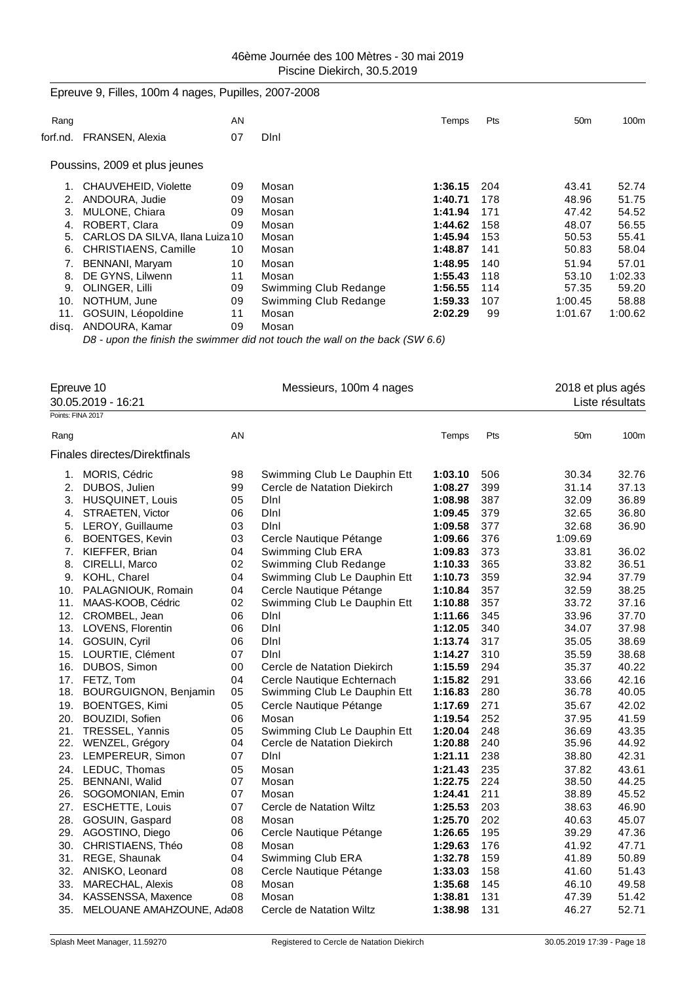# Epreuve 9, Filles, 100m 4 nages, Pupilles, 2007-2008 Rang AN Temps Pts 50m 100m forf.nd. FRANSEN, Alexia 07 Dlnl Poussins, 2009 et plus jeunes 1. CHAUVEHEID, Violette 09 Mosan **1:36.15** 204 43.41 52.74 2. ANDOURA, Judie 09 Mosan **1:40.71** 178 48.96 51.75 3. MULONE, Chiara 09 Mosan **1:41.94** 171 47.42 54.52 4. ROBERT, Clara 09 Mosan **1:44.62** 158 48.07 56.55 5. CARLOS DA SILVA, Ilana Luiza 10 Mosan **1:45.94**<br>1.48.87 **1:48.87** 6. CHRISTIAENS, Camille 10 Mosan 6. CHRISTIAENS, Camille 10 Mosan **1:48.87** 141 50.83 58.04 7. BENNANI, Maryam 10 Mosan **1:48.95** 140 51.94 57.01 8. DE GYNS, Lilwenn **11 Mosan** 1:02.33<br>1.55.43 118 53.10 1:02.33<br>9. OLINGER, Lilli **1:02.33** 59.20 9. OLINGER, Lilli 09 Swimming Club Redange **1:56.55** 114 57.35 59.20 09 Swimming Club Redange **1:59.33** 107 1:00.45 58.88 11. GOSUIN, Léopoldine 11 Mosan **2:02.29** 99 1:01.67 1:00.62 disq. ANDOURA, Kamar 09 Mosan

*D8 - upon the finish the swimmer did not touch the wall on the back (SW 6.6)*

| Points: FINA 2017 | Epreuve 10<br>30.05.2019 - 16:21     |    | Messieurs, 100m 4 nages      |         |     | 2018 et plus agés | Liste résultats |
|-------------------|--------------------------------------|----|------------------------------|---------|-----|-------------------|-----------------|
| Rang              |                                      | AN |                              | Temps   | Pts | 50 <sub>m</sub>   | 100m            |
|                   |                                      |    |                              |         |     |                   |                 |
|                   | <b>Finales directes/Direktfinals</b> |    |                              |         |     |                   |                 |
|                   | 1. MORIS, Cédric                     | 98 | Swimming Club Le Dauphin Ett | 1:03.10 | 506 | 30.34             | 32.76           |
| 2.                | DUBOS, Julien                        | 99 | Cercle de Natation Diekirch  | 1:08.27 | 399 | 31.14             | 37.13           |
| 3.                | <b>HUSQUINET, Louis</b>              | 05 | Dini                         | 1:08.98 | 387 | 32.09             | 36.89           |
| 4.                | STRAETEN, Victor                     | 06 | Dini                         | 1:09.45 | 379 | 32.65             | 36.80           |
| 5.                | LEROY, Guillaume                     | 03 | Dini                         | 1:09.58 | 377 | 32.68             | 36.90           |
| 6.                | <b>BOENTGES, Kevin</b>               | 03 | Cercle Nautique Pétange      | 1:09.66 | 376 | 1:09.69           |                 |
| 7.                | KIEFFER, Brian                       | 04 | Swimming Club ERA            | 1:09.83 | 373 | 33.81             | 36.02           |
| 8.                | CIRELLI, Marco                       | 02 | Swimming Club Redange        | 1:10.33 | 365 | 33.82             | 36.51           |
| 9.                | KOHL, Charel                         | 04 | Swimming Club Le Dauphin Ett | 1:10.73 | 359 | 32.94             | 37.79           |
| 10.               | PALAGNIOUK, Romain                   | 04 | Cercle Nautique Pétange      | 1:10.84 | 357 | 32.59             | 38.25           |
| 11.               | MAAS-KOOB, Cédric                    | 02 | Swimming Club Le Dauphin Ett | 1:10.88 | 357 | 33.72             | 37.16           |
| 12.               | CROMBEL, Jean                        | 06 | Dini                         | 1:11.66 | 345 | 33.96             | 37.70           |
| 13.               | LOVENS, Florentin                    | 06 | DInl                         | 1:12.05 | 340 | 34.07             | 37.98           |
|                   | 14. GOSUIN, Cyril                    | 06 | Dini                         | 1:13.74 | 317 | 35.05             | 38.69           |
| 15.               | LOURTIE, Clément                     | 07 | DInl                         | 1:14.27 | 310 | 35.59             | 38.68           |
|                   | 16. DUBOS, Simon                     | 00 | Cercle de Natation Diekirch  | 1:15.59 | 294 | 35.37             | 40.22           |
|                   | 17. FETZ, Tom                        | 04 | Cercle Nautique Echternach   | 1:15.82 | 291 | 33.66             | 42.16           |
| 18.               | <b>BOURGUIGNON, Benjamin</b>         | 05 | Swimming Club Le Dauphin Ett | 1:16.83 | 280 | 36.78             | 40.05           |
| 19.               | <b>BOENTGES, Kimi</b>                | 05 | Cercle Nautique Pétange      | 1:17.69 | 271 | 35.67             | 42.02           |
| 20.               | BOUZIDI, Sofien                      | 06 | Mosan                        | 1:19.54 | 252 | 37.95             | 41.59           |
| 21.               | TRESSEL, Yannis                      | 05 | Swimming Club Le Dauphin Ett | 1:20.04 | 248 | 36.69             | 43.35           |
| 22.               | WENZEL, Grégory                      | 04 | Cercle de Natation Diekirch  | 1:20.88 | 240 | 35.96             | 44.92           |
| 23.               | LEMPEREUR, Simon                     | 07 | DInl                         | 1:21.11 | 238 | 38.80             | 42.31           |
|                   | 24. LEDUC, Thomas                    | 05 | Mosan                        | 1:21.43 | 235 | 37.82             | 43.61           |
| 25.               | <b>BENNANI, Walid</b>                | 07 | Mosan                        | 1:22.75 | 224 | 38.50             | 44.25           |
| 26.               | SOGOMONIAN, Emin                     | 07 | Mosan                        | 1:24.41 | 211 | 38.89             | 45.52           |
| 27.               | <b>ESCHETTE, Louis</b>               | 07 | Cercle de Natation Wiltz     | 1:25.53 | 203 | 38.63             | 46.90           |
| 28.               | GOSUIN, Gaspard                      | 08 | Mosan                        | 1:25.70 | 202 | 40.63             | 45.07           |
|                   | 29. AGOSTINO, Diego                  | 06 | Cercle Nautique Pétange      | 1:26.65 | 195 | 39.29             | 47.36           |
|                   | 30. CHRISTIAENS, Théo                | 08 | Mosan                        | 1:29.63 | 176 | 41.92             | 47.71           |
| 31.               | REGE, Shaunak                        | 04 | Swimming Club ERA            | 1:32.78 | 159 | 41.89             | 50.89           |
| 32.               | ANISKO, Leonard                      | 08 | Cercle Nautique Pétange      | 1:33.03 | 158 | 41.60             | 51.43           |
| 33.               | MARECHAL, Alexis                     | 08 | Mosan                        | 1:35.68 | 145 | 46.10             | 49.58           |
| 34.               | KASSENSSA, Maxence                   | 08 | Mosan                        | 1:38.81 | 131 | 47.39             | 51.42           |
| 35.               | MELOUANE AMAHZOUNE, Ada08            |    | Cercle de Natation Wiltz     | 1:38.98 | 131 | 46.27             | 52.71           |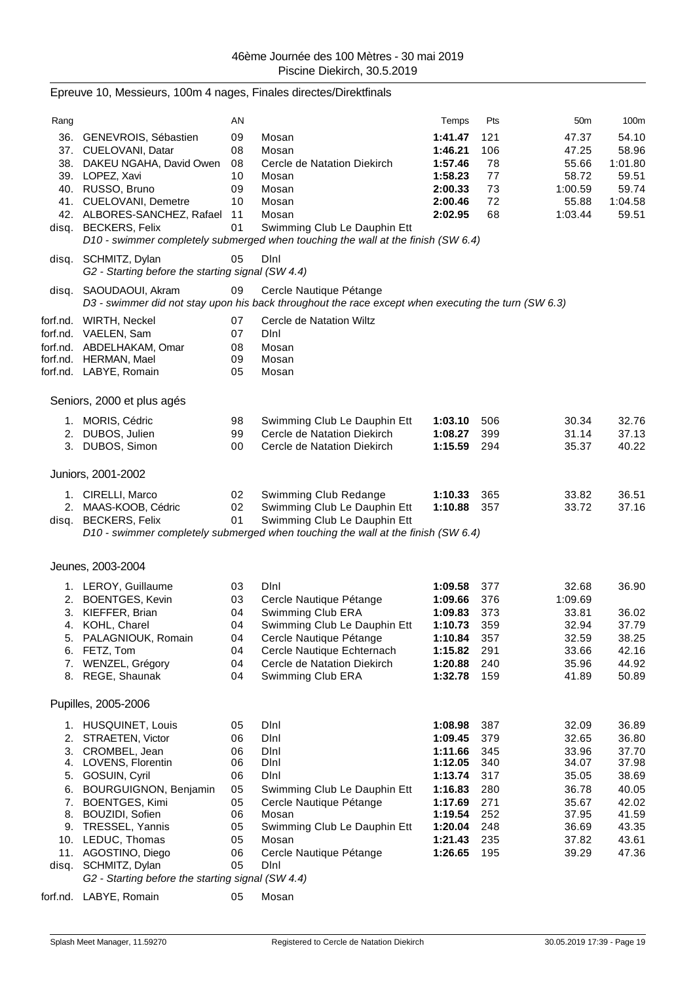|                            | Epreuve 10, Messieurs, 100m 4 nages, Finales directes/Direktfinals                                                                                                                                                                                                                                                              |                                                                      |                                                                                                                                                                                                       |                                                                                                                       |                                                                           |                                                                                                 |                                                                                                 |
|----------------------------|---------------------------------------------------------------------------------------------------------------------------------------------------------------------------------------------------------------------------------------------------------------------------------------------------------------------------------|----------------------------------------------------------------------|-------------------------------------------------------------------------------------------------------------------------------------------------------------------------------------------------------|-----------------------------------------------------------------------------------------------------------------------|---------------------------------------------------------------------------|-------------------------------------------------------------------------------------------------|-------------------------------------------------------------------------------------------------|
| Rang                       |                                                                                                                                                                                                                                                                                                                                 | AN                                                                   |                                                                                                                                                                                                       | Temps                                                                                                                 | Pts                                                                       | 50 <sub>m</sub>                                                                                 | 100m                                                                                            |
|                            | 36. GENEVROIS, Sébastien<br>37. CUELOVANI, Datar<br>38. DAKEU NGAHA, David Owen<br>39. LOPEZ, Xavi<br>40. RUSSO, Bruno<br>41. CUELOVANI, Demetre<br>42. ALBORES-SANCHEZ, Rafael 11<br>disq. BECKERS, Felix                                                                                                                      | 09<br>08<br>08<br>10<br>09<br>10<br>01                               | Mosan<br>Mosan<br>Cercle de Natation Diekirch<br>Mosan<br>Mosan<br>Mosan<br>Mosan<br>Swimming Club Le Dauphin Ett<br>D10 - swimmer completely submerged when touching the wall at the finish (SW 6.4) | 1:41.47<br>1:46.21<br>1:57.46<br>1:58.23<br>2:00.33<br>2:00.46<br>2:02.95                                             | 121<br>106<br>78<br>77<br>73<br>72<br>68                                  | 47.37<br>47.25<br>55.66<br>58.72<br>1:00.59<br>55.88<br>1:03.44                                 | 54.10<br>58.96<br>1:01.80<br>59.51<br>59.74<br>1:04.58<br>59.51                                 |
|                            | disq. SCHMITZ, Dylan<br>G2 - Starting before the starting signal (SW 4.4)                                                                                                                                                                                                                                                       | 05                                                                   | DInl                                                                                                                                                                                                  |                                                                                                                       |                                                                           |                                                                                                 |                                                                                                 |
| disq.                      | SAOUDAOUI, Akram                                                                                                                                                                                                                                                                                                                | 09                                                                   | Cercle Nautique Pétange<br>D3 - swimmer did not stay upon his back throughout the race except when executing the turn (SW 6.3)                                                                        |                                                                                                                       |                                                                           |                                                                                                 |                                                                                                 |
|                            | forf.nd. WIRTH, Neckel<br>forf.nd. VAELEN, Sam<br>forf.nd. ABDELHAKAM, Omar<br>forf.nd. HERMAN, Mael<br>forf.nd. LABYE, Romain                                                                                                                                                                                                  | 07<br>07<br>08<br>09<br>05                                           | Cercle de Natation Wiltz<br>Dini<br>Mosan<br>Mosan<br>Mosan                                                                                                                                           |                                                                                                                       |                                                                           |                                                                                                 |                                                                                                 |
|                            | Seniors, 2000 et plus agés                                                                                                                                                                                                                                                                                                      |                                                                      |                                                                                                                                                                                                       |                                                                                                                       |                                                                           |                                                                                                 |                                                                                                 |
|                            | 1. MORIS, Cédric<br>2. DUBOS, Julien<br>3. DUBOS, Simon                                                                                                                                                                                                                                                                         | 98<br>99<br>00                                                       | Swimming Club Le Dauphin Ett<br>Cercle de Natation Diekirch<br>Cercle de Natation Diekirch                                                                                                            | 1:03.10<br>1:08.27<br>1:15.59                                                                                         | 506<br>399<br>294                                                         | 30.34<br>31.14<br>35.37                                                                         | 32.76<br>37.13<br>40.22                                                                         |
|                            | Juniors, 2001-2002                                                                                                                                                                                                                                                                                                              |                                                                      |                                                                                                                                                                                                       |                                                                                                                       |                                                                           |                                                                                                 |                                                                                                 |
|                            | 1. CIRELLI, Marco<br>2. MAAS-KOOB, Cédric<br>disq. BECKERS, Felix                                                                                                                                                                                                                                                               | 02<br>02<br>01                                                       | Swimming Club Redange<br>Swimming Club Le Dauphin Ett<br>Swimming Club Le Dauphin Ett<br>D10 - swimmer completely submerged when touching the wall at the finish (SW 6.4)                             | 1:10.33<br>1:10.88                                                                                                    | 365<br>357                                                                | 33.82<br>33.72                                                                                  | 36.51<br>37.16                                                                                  |
|                            | Jeunes, 2003-2004                                                                                                                                                                                                                                                                                                               |                                                                      |                                                                                                                                                                                                       |                                                                                                                       |                                                                           |                                                                                                 |                                                                                                 |
| 3.<br>5.<br>6.<br>7.       | 1. LEROY, Guillaume<br>2. BOENTGES, Kevin<br>KIEFFER, Brian<br>4. KOHL, Charel<br>PALAGNIOUK, Romain<br>FETZ, Tom<br>WENZEL, Grégory<br>8. REGE, Shaunak                                                                                                                                                                        | 03<br>03<br>04<br>04<br>04<br>04<br>04<br>04                         | Dini<br>Cercle Nautique Pétange<br>Swimming Club ERA<br>Swimming Club Le Dauphin Ett<br>Cercle Nautique Pétange<br>Cercle Nautique Echternach<br>Cercle de Natation Diekirch<br>Swimming Club ERA     | 1:09.58<br>1:09.66<br>1:09.83<br>1:10.73<br>1:10.84<br>1:15.82<br>1:20.88<br>1:32.78                                  | 377<br>376<br>373<br>359<br>357<br>291<br>240<br>159                      | 32.68<br>1:09.69<br>33.81<br>32.94<br>32.59<br>33.66<br>35.96<br>41.89                          | 36.90<br>36.02<br>37.79<br>38.25<br>42.16<br>44.92<br>50.89                                     |
|                            | Pupilles, 2005-2006                                                                                                                                                                                                                                                                                                             |                                                                      |                                                                                                                                                                                                       |                                                                                                                       |                                                                           |                                                                                                 |                                                                                                 |
| 5.<br>6.<br>7.<br>8.<br>9. | 1. HUSQUINET, Louis<br>2. STRAETEN, Victor<br>3. CROMBEL, Jean<br>4. LOVENS, Florentin<br>GOSUIN, Cyril<br><b>BOURGUIGNON, Benjamin</b><br><b>BOENTGES, Kimi</b><br>BOUZIDI, Sofien<br>TRESSEL, Yannis<br>10. LEDUC, Thomas<br>11. AGOSTINO, Diego<br>disq. SCHMITZ, Dylan<br>G2 - Starting before the starting signal (SW 4.4) | 05<br>06<br>06<br>06<br>06<br>05<br>05<br>06<br>05<br>05<br>06<br>05 | Dini<br>Dini<br>Dini<br>Dini<br>Dini<br>Swimming Club Le Dauphin Ett<br>Cercle Nautique Pétange<br>Mosan<br>Swimming Club Le Dauphin Ett<br>Mosan<br>Cercle Nautique Pétange<br>DInl                  | 1:08.98<br>1:09.45<br>1:11.66<br>1:12.05<br>1:13.74<br>1:16.83<br>1:17.69<br>1:19.54<br>1:20.04<br>1:21.43<br>1:26.65 | 387<br>379<br>345<br>340<br>317<br>280<br>271<br>252<br>248<br>235<br>195 | 32.09<br>32.65<br>33.96<br>34.07<br>35.05<br>36.78<br>35.67<br>37.95<br>36.69<br>37.82<br>39.29 | 36.89<br>36.80<br>37.70<br>37.98<br>38.69<br>40.05<br>42.02<br>41.59<br>43.35<br>43.61<br>47.36 |

forf.nd. LABYE, Romain 05 Mosan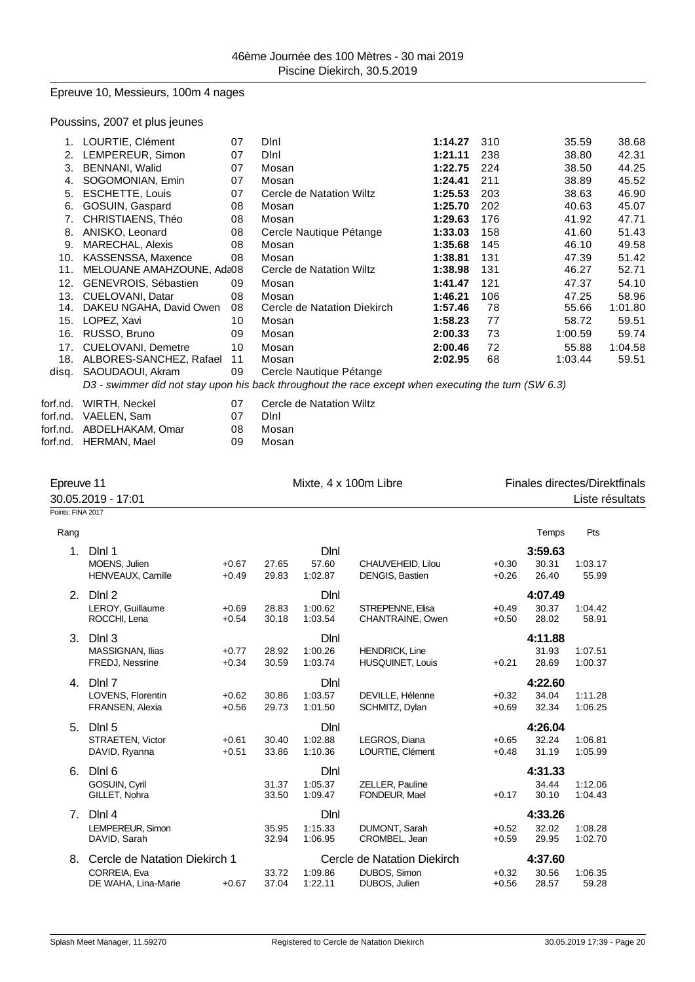## Epreuve 10, Messieurs, 100m 4 nages

# Poussins, 2007 et plus jeunes

| 1.    | LOURTIE, Clément          | 07 | Dini                        | 1:14.27 | 310 | 35.59   | 38.68   |
|-------|---------------------------|----|-----------------------------|---------|-----|---------|---------|
| 2.    | LEMPEREUR, Simon          | 07 | Dini                        | 1:21.11 | 238 | 38.80   | 42.31   |
| 3.    | <b>BENNANI, Walid</b>     | 07 | Mosan                       | 1:22.75 | 224 | 38.50   | 44.25   |
| 4.    | SOGOMONIAN, Emin          | 07 | Mosan                       | 1:24.41 | 211 | 38.89   | 45.52   |
| 5.    | <b>ESCHETTE, Louis</b>    | 07 | Cercle de Natation Wiltz    | 1:25.53 | 203 | 38.63   | 46.90   |
| 6.    | GOSUIN, Gaspard           | 08 | Mosan                       | 1:25.70 | 202 | 40.63   | 45.07   |
| 7.    | CHRISTIAENS, Théo         | 08 | Mosan                       | 1:29.63 | 176 | 41.92   | 47.71   |
| 8.    | ANISKO, Leonard           | 08 | Cercle Nautique Pétange     | 1:33.03 | 158 | 41.60   | 51.43   |
| 9.    | MARECHAL, Alexis          | 08 | Mosan                       | 1:35.68 | 145 | 46.10   | 49.58   |
| 10.   | KASSENSSA, Maxence        | 08 | Mosan                       | 1:38.81 | 131 | 47.39   | 51.42   |
| 11.   | MELOUANE AMAHZOUNE, Ada08 |    | Cercle de Natation Wiltz    | 1:38.98 | 131 | 46.27   | 52.71   |
| 12.   | GENEVROIS, Sébastien      | 09 | Mosan                       | 1:41.47 | 121 | 47.37   | 54.10   |
| 13.   | CUELOVANI, Datar          | 08 | Mosan                       | 1:46.21 | 106 | 47.25   | 58.96   |
| 14.   | DAKEU NGAHA, David Owen   | 08 | Cercle de Natation Diekirch | 1:57.46 | 78  | 55.66   | 1:01.80 |
| 15.   | LOPEZ, Xavi               | 10 | Mosan                       | 1:58.23 | 77  | 58.72   | 59.51   |
| 16.   | RUSSO, Bruno              | 09 | Mosan                       | 2:00.33 | 73  | 1:00.59 | 59.74   |
|       | 17. CUELOVANI, Demetre    | 10 | Mosan                       | 2:00.46 | 72  | 55.88   | 1:04.58 |
| 18.   | ALBORES-SANCHEZ, Rafael   | 11 | Mosan                       | 2:02.95 | 68  | 1:03.44 | 59.51   |
| disq. | SAOUDAOUI, Akram          | 09 | Cercle Nautique Pétange     |         |     |         |         |
|       |                           |    |                             |         |     |         |         |

| D3 - swimmer did not stay upon his back throughout the race except when executing the turn (SW 6.3) |  |  |  |
|-----------------------------------------------------------------------------------------------------|--|--|--|
|-----------------------------------------------------------------------------------------------------|--|--|--|

| Cercle de Natation Wil |  |
|------------------------|--|
|                        |  |

| forf.nd. WIRTH, Neckel    | በ7  | Cercle de Natation Wiltz |
|---------------------------|-----|--------------------------|
| forf.nd. VAELEN. Sam      | በ7  | Dini                     |
| forf.nd. ABDELHAKAM. Omar | 08. | Mosan                    |
| forf.nd. HERMAN. Mael     | 09. | Mosan                    |

| Epreuve 11<br>30.05.2019 - 17:01 |                                                                      | Mixte, 4 x 100m Libre |                |                            | Finales directes/Direktfinals<br>Liste résultats             |                    |                           |                    |
|----------------------------------|----------------------------------------------------------------------|-----------------------|----------------|----------------------------|--------------------------------------------------------------|--------------------|---------------------------|--------------------|
| Points: FINA 2017                |                                                                      |                       |                |                            |                                                              |                    |                           |                    |
| Rang                             |                                                                      |                       |                |                            |                                                              |                    | Temps                     | Pts                |
| 1 <sub>1</sub>                   | DIni 1<br>MOENS, Julien<br>HENVEAUX, Camille                         | $+0.67$<br>$+0.49$    | 27.65<br>29.83 | DInl<br>57.60<br>1:02.87   | CHAUVEHEID, Lilou<br>DENGIS, Bastien                         | $+0.30$<br>$+0.26$ | 3:59.63<br>30.31<br>26.40 | 1:03.17<br>55.99   |
| 2.                               | Dlnl 2<br>LEROY, Guillaume<br>ROCCHI, Lena                           | $+0.69$<br>$+0.54$    | 28.83<br>30.18 | Dlnl<br>1:00.62<br>1:03.54 | STREPENNE, Elisa<br>CHANTRAINE, Owen                         | $+0.49$<br>$+0.50$ | 4:07.49<br>30.37<br>28.02 | 1:04.42<br>58.91   |
| 3.                               | DInl 3<br>MASSIGNAN, Ilias<br>FREDJ, Nessrine                        | $+0.77$<br>$+0.34$    | 28.92<br>30.59 | DInl<br>1:00.26<br>1:03.74 | <b>HENDRICK, Line</b><br><b>HUSQUINET, Louis</b>             | $+0.21$            | 4:11.88<br>31.93<br>28.69 | 1:07.51<br>1:00.37 |
|                                  | 4. Dlnl 7<br>LOVENS, Florentin<br>FRANSEN, Alexia                    | $+0.62$<br>$+0.56$    | 30.86<br>29.73 | DInl<br>1:03.57<br>1:01.50 | DEVILLE, Hélenne<br>SCHMITZ, Dylan                           | $+0.32$<br>$+0.69$ | 4:22.60<br>34.04<br>32.34 | 1:11.28<br>1:06.25 |
| 5.                               | Dlnl 5<br>STRAETEN, Victor<br>DAVID, Ryanna                          | $+0.61$<br>$+0.51$    | 30.40<br>33.86 | DInl<br>1:02.88<br>1:10.36 | LEGROS, Diana<br>LOURTIE, Clément                            | $+0.65$<br>$+0.48$ | 4:26.04<br>32.24<br>31.19 | 1:06.81<br>1:05.99 |
| 6.                               | Dini 6<br>GOSUIN, Cyril<br>GILLET, Nohra                             |                       | 31.37<br>33.50 | DInl<br>1:05.37<br>1:09.47 | ZELLER, Pauline<br>FONDEUR, Mael                             | $+0.17$            | 4:31.33<br>34.44<br>30.10 | 1:12.06<br>1:04.43 |
| 7.                               | DInl 4<br>LEMPEREUR, Simon<br>DAVID, Sarah                           |                       | 35.95<br>32.94 | Dlnl<br>1:15.33<br>1:06.95 | DUMONT, Sarah<br>CROMBEL, Jean                               | $+0.52$<br>$+0.59$ | 4:33.26<br>32.02<br>29.95 | 1:08.28<br>1:02.70 |
| 8.                               | Cercle de Natation Diekirch 1<br>CORREIA, Eva<br>DE WAHA, Lina-Marie | $+0.67$               | 33.72<br>37.04 | 1:09.86<br>1:22.11         | Cercle de Natation Diekirch<br>DUBOS, Simon<br>DUBOS, Julien | $+0.32$<br>$+0.56$ | 4:37.60<br>30.56<br>28.57 | 1:06.35<br>59.28   |